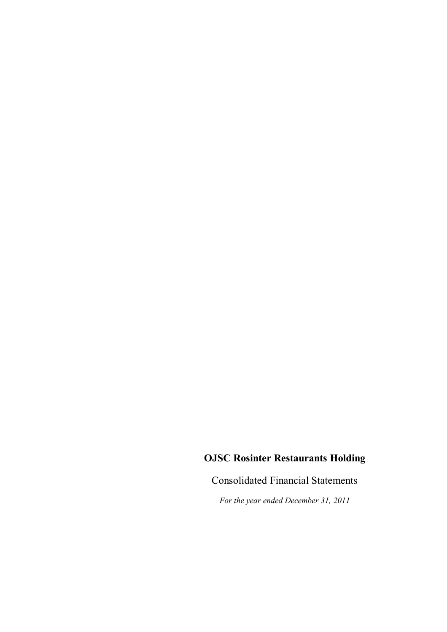Consolidated Financial Statements

*For the year ended December 31, 2011*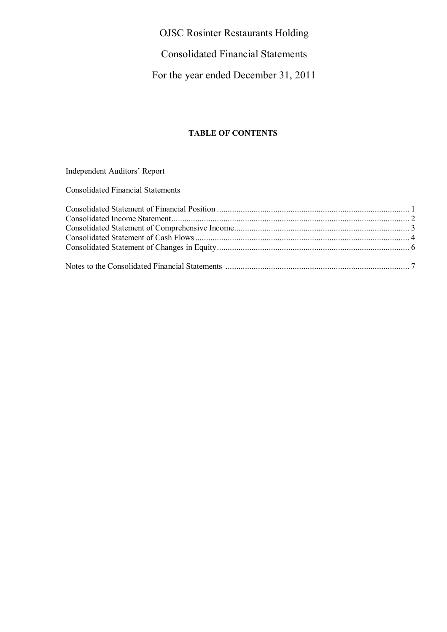Consolidated Financial Statements

For the year ended December 31, 2011

### **TABLE OF CONTENTS**

Independent Auditors' Report

Consolidated Financial Statements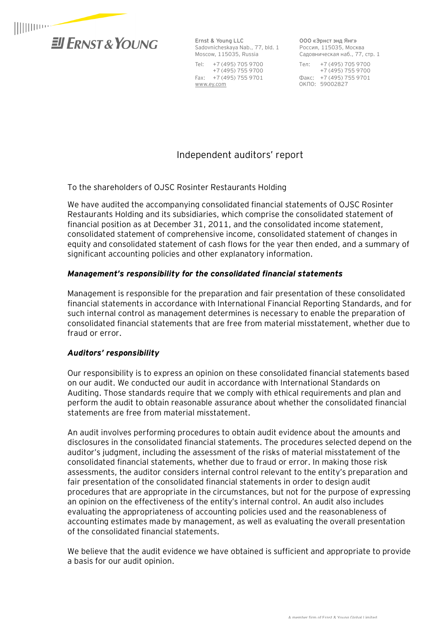

**Ernst & Young LLC**  Sadovnicheskaya Nab., 77, bld. 1 Россия, 115035, Москва Moscow, 115035, Russia

Tel: +7 (495) 705 9700 +7 (495) 755 9700 Fax: +7 (495) 755 9701 [www.ey.com](http://www.ey.com)

**ООО «Эрнст энд Янг»**  Садовническая наб., 77, стр. 1

Тел: +7 (495) 705 9700 +7 (495) 755 9700 Факс: +7 (495) 755 9701 ОКПО: 59002827

### Independent auditors' report

To the shareholders of OJSC Rosinter Restaurants Holding

We have audited the accompanying consolidated financial statements of OJSC Rosinter Restaurants Holding and its subsidiaries, which comprise the consolidated statement of financial position as at December 31, 2011, and the consolidated income statement, consolidated statement of comprehensive income, consolidated statement of changes in equity and consolidated statement of cash flows for the year then ended, and a summary of significant accounting policies and other explanatory information.

### *Management's responsibility for the consolidated financial statements*

Management is responsible for the preparation and fair presentation of these consolidated financial statements in accordance with International Financial Reporting Standards, and for such internal control as management determines is necessary to enable the preparation of consolidated financial statements that are free from material misstatement, whether due to fraud or error.

### *Auditors' responsibility*

Our responsibility is to express an opinion on these consolidated financial statements based on our audit. We conducted our audit in accordance with International Standards on Auditing. Those standards require that we comply with ethical requirements and plan and perform the audit to obtain reasonable assurance about whether the consolidated financial statements are free from material misstatement.

An audit involves performing procedures to obtain audit evidence about the amounts and disclosures in the consolidated financial statements. The procedures selected depend on the auditor's judgment, including the assessment of the risks of material misstatement of the consolidated financial statements, whether due to fraud or error. In making those risk assessments, the auditor considers internal control relevant to the entity's preparation and fair presentation of the consolidated financial statements in order to design audit procedures that are appropriate in the circumstances, but not for the purpose of expressing an opinion on the effectiveness of the entity's internal control. An audit also includes evaluating the appropriateness of accounting policies used and the reasonableness of accounting estimates made by management, as well as evaluating the overall presentation of the consolidated financial statements.

We believe that the audit evidence we have obtained is sufficient and appropriate to provide a basis for our audit opinion.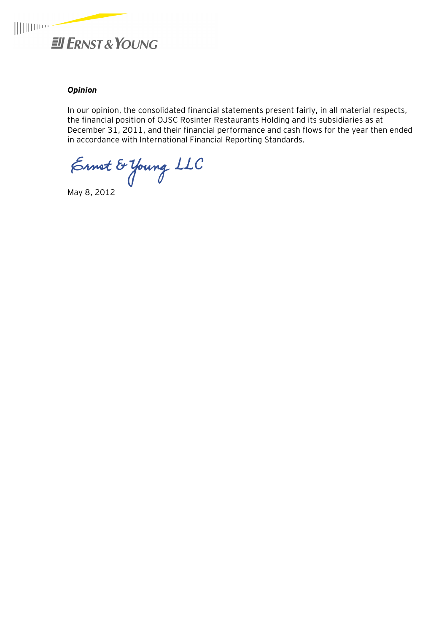

### *Opinion*

In our opinion, the consolidated financial statements present fairly, in all material respects, the financial position of OJSC Rosinter Restaurants Holding and its subsidiaries as at December 31, 2011, and their financial performance and cash flows for the year then ended in accordance with International Financial Reporting Standards.

Ernet & Young LLC

May 8, 2012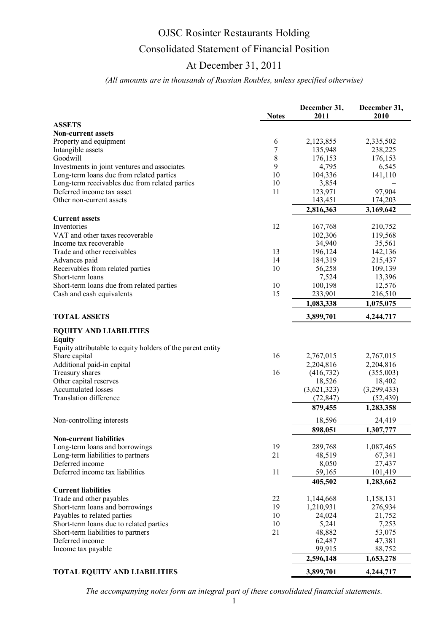# OJSC Rosinter Restaurants Holding Consolidated Statement of Financial Position

### At December 31, 2011

### *(All amounts are in thousands of Russian Roubles, unless specified otherwise)*

|                                                                             | <b>Notes</b> | December 31,<br>2011 | December 31,<br>2010 |
|-----------------------------------------------------------------------------|--------------|----------------------|----------------------|
| <b>ASSETS</b>                                                               |              |                      |                      |
| <b>Non-current assets</b>                                                   |              |                      |                      |
| Property and equipment                                                      | 6            | 2,123,855            | 2,335,502            |
| Intangible assets                                                           | 7            | 135,948              | 238,225              |
| Goodwill                                                                    | 8            | 176,153              | 176,153              |
| Investments in joint ventures and associates                                | 9            | 4,795                | 6,545                |
| Long-term loans due from related parties                                    | 10           | 104,336              | 141,110              |
| Long-term receivables due from related parties                              | 10           | 3,854                |                      |
| Deferred income tax asset                                                   | 11           | 123,971              | 97,904               |
| Other non-current assets                                                    |              | 143,451              | 174,203              |
|                                                                             |              | 2,816,363            | 3,169,642            |
| <b>Current assets</b>                                                       |              |                      |                      |
| Inventories                                                                 | 12           | 167,768              | 210,752              |
| VAT and other taxes recoverable                                             |              | 102,306              | 119,568              |
| Income tax recoverable                                                      |              | 34,940               | 35,561               |
| Trade and other receivables                                                 | 13           | 196,124              | 142,136              |
| Advances paid                                                               | 14           | 184,319              | 215,437              |
| Receivables from related parties                                            | 10           | 56,258               | 109,139              |
| Short-term loans                                                            | 10           | 7,524                | 13,396               |
| Short-term loans due from related parties                                   | 15           | 100,198              | 12,576               |
| Cash and cash equivalents                                                   |              | 233,901<br>1,083,338 | 216,510              |
|                                                                             |              |                      | 1,075,075            |
| <b>TOTAL ASSETS</b>                                                         |              | 3,899,701            | 4,244,717            |
| <b>EQUITY AND LIABILITIES</b>                                               |              |                      |                      |
| <b>Equity</b><br>Equity attributable to equity holders of the parent entity |              |                      |                      |
| Share capital                                                               | 16           | 2,767,015            | 2,767,015            |
| Additional paid-in capital                                                  |              | 2,204,816            | 2,204,816            |
| Treasury shares                                                             | 16           | (416, 732)           | (355,003)            |
| Other capital reserves                                                      |              | 18,526               | 18,402               |
| <b>Accumulated losses</b>                                                   |              | (3,621,323)          | (3,299,433)          |
| <b>Translation difference</b>                                               |              | (72, 847)            | (52, 439)            |
|                                                                             |              | 879,455              | 1,283,358            |
| Non-controlling interests                                                   |              | 18,596               | 24,419               |
|                                                                             |              | 898,051              | 1,307,777            |
| Non-current liabilities                                                     |              |                      |                      |
| Long-term loans and borrowings                                              | 19           | 289,768              | 1,087,465            |
| Long-term liabilities to partners                                           | 21           | 48,519               | 67,341               |
| Deferred income                                                             |              | 8,050                | 27,437               |
| Deferred income tax liabilities                                             | 11           | 59,165               | 101,419              |
|                                                                             |              | 405,502              | 1,283,662            |
| <b>Current liabilities</b>                                                  |              |                      |                      |
| Trade and other payables                                                    | 22           | 1,144,668            | 1,158,131            |
| Short-term loans and borrowings                                             | 19           | 1,210,931            | 276,934              |
| Payables to related parties                                                 | 10           | 24,024               | 21,752               |
| Short-term loans due to related parties                                     | 10           | 5,241                | 7,253                |
| Short-term liabilities to partners                                          | 21           | 48,882               | 53,075               |
| Deferred income                                                             |              | 62,487               | 47,381               |
| Income tax payable                                                          |              | 99,915               | 88,752               |
|                                                                             |              | 2,596,148            | 1,653,278            |
| <b>TOTAL EQUITY AND LIABILITIES</b>                                         |              | 3,899,701            | 4,244,717            |

*The accompanying notes form an integral part of these consolidated financial statements.*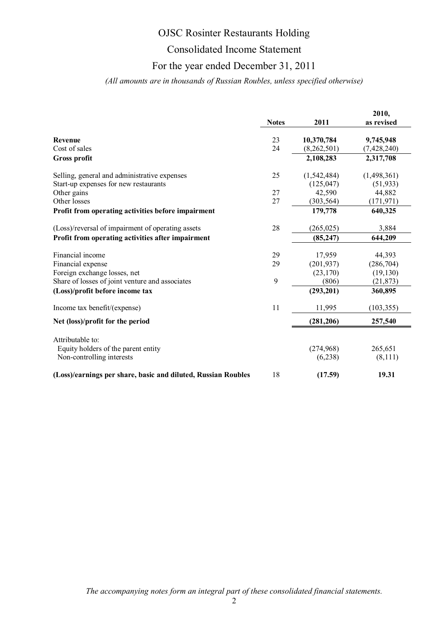### Consolidated Income Statement

### For the year ended December 31, 2011

### *(All amounts are in thousands of Russian Roubles, unless specified otherwise)*

|                                                               | <b>Notes</b> | 2011          | 2010,<br>as revised |
|---------------------------------------------------------------|--------------|---------------|---------------------|
| <b>Revenue</b>                                                | 23           | 10,370,784    | 9,745,948           |
| Cost of sales                                                 | 24           | (8,262,501)   | (7, 428, 240)       |
| <b>Gross profit</b>                                           |              | 2,108,283     | 2,317,708           |
| Selling, general and administrative expenses                  | 25           | (1, 542, 484) | (1,498,361)         |
| Start-up expenses for new restaurants                         |              | (125, 047)    | (51, 933)           |
| Other gains                                                   | 27           | 42,590        | 44,882              |
| Other losses                                                  | 27           | (303, 564)    | (171, 971)          |
| Profit from operating activities before impairment            |              | 179,778       | 640,325             |
| (Loss)/reversal of impairment of operating assets             | 28           | (265, 025)    | 3,884               |
| Profit from operating activities after impairment             |              | (85, 247)     | 644,209             |
| Financial income                                              | 29           | 17,959        | 44,393              |
| Financial expense                                             | 29           | (201, 937)    | (286, 704)          |
| Foreign exchange losses, net                                  |              | (23, 170)     | (19, 130)           |
| Share of losses of joint venture and associates               | 9            | (806)         | (21, 873)           |
| (Loss)/profit before income tax                               |              | (293, 201)    | 360,895             |
| Income tax benefit/(expense)                                  | 11           | 11,995        | (103, 355)          |
| Net (loss)/profit for the period                              |              | (281, 206)    | 257,540             |
| Attributable to:                                              |              |               |                     |
| Equity holders of the parent entity                           |              | (274,968)     | 265,651             |
| Non-controlling interests                                     |              | (6,238)       | (8,111)             |
| (Loss)/earnings per share, basic and diluted, Russian Roubles | 18           | (17.59)       | 19.31               |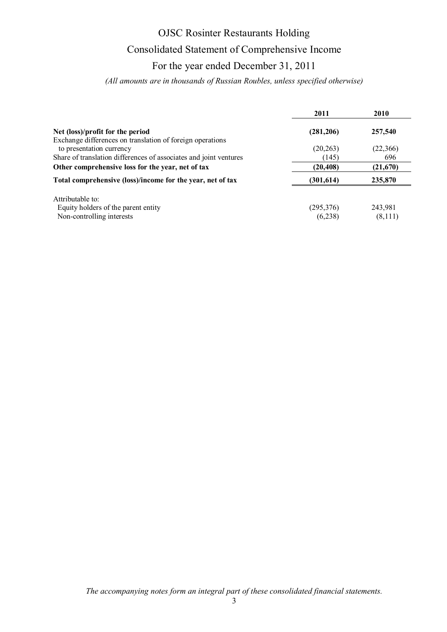## OJSC Rosinter Restaurants Holding Consolidated Statement of Comprehensive Income For the year ended December 31, 2011

### *(All amounts are in thousands of Russian Roubles, unless specified otherwise)*

|                                                                   | 2011       | <b>2010</b> |
|-------------------------------------------------------------------|------------|-------------|
| Net (loss)/profit for the period                                  | (281, 206) | 257,540     |
| Exchange differences on translation of foreign operations         |            |             |
| to presentation currency                                          | (20, 263)  | (22, 366)   |
| Share of translation differences of associates and joint ventures | (145)      | 696         |
| Other comprehensive loss for the year, net of tax                 | (20, 408)  | (21, 670)   |
| Total comprehensive (loss)/income for the year, net of tax        | (301, 614) | 235,870     |
| Attributable to:                                                  |            |             |
| Equity holders of the parent entity                               | (295, 376) | 243,981     |
| Non-controlling interests                                         | (6,238)    | (8,111)     |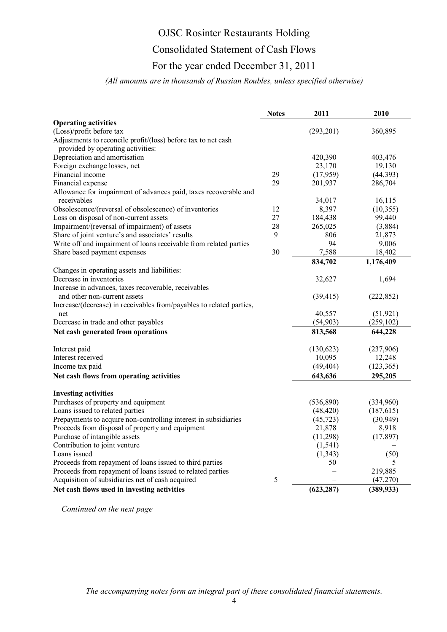### Consolidated Statement of Cash Flows

### For the year ended December 31, 2011

### *(All amounts are in thousands of Russian Roubles, unless specified otherwise)*

|                                                                                                    | <b>Notes</b> | 2011       | 2010       |
|----------------------------------------------------------------------------------------------------|--------------|------------|------------|
| <b>Operating activities</b>                                                                        |              |            |            |
| (Loss)/profit before tax                                                                           |              | (293,201)  | 360,895    |
| Adjustments to reconcile profit/(loss) before tax to net cash<br>provided by operating activities: |              |            |            |
| Depreciation and amortisation                                                                      |              | 420,390    | 403,476    |
| Foreign exchange losses, net                                                                       |              | 23,170     | 19,130     |
| Financial income                                                                                   | 29           | (17,959)   | (44, 393)  |
| Financial expense                                                                                  | 29           | 201,937    | 286,704    |
| Allowance for impairment of advances paid, taxes recoverable and<br>receivables                    |              | 34,017     | 16,115     |
| Obsolescence/(reversal of obsolescence) of inventories                                             | 12           | 8,397      | (10, 355)  |
| Loss on disposal of non-current assets                                                             | 27           | 184,438    | 99,440     |
| Impairment/(reversal of impairment) of assets                                                      | 28           | 265,025    | (3,884)    |
| Share of joint venture's and associates' results                                                   | 9            | 806        | 21,873     |
| Write off and impairment of loans receivable from related parties                                  |              | 94         | 9,006      |
| Share based payment expenses                                                                       | 30           | 7,588      | 18,402     |
|                                                                                                    |              | 834,702    | 1,176,409  |
| Changes in operating assets and liabilities:                                                       |              |            |            |
| Decrease in inventories                                                                            |              | 32,627     | 1,694      |
| Increase in advances, taxes recoverable, receivables<br>and other non-current assets               |              | (39, 415)  | (222, 852) |
| Increase/(decrease) in receivables from/payables to related parties,                               |              |            |            |
| net                                                                                                |              | 40,557     | (51, 921)  |
| Decrease in trade and other payables                                                               |              | (54,903)   | (259, 102) |
| Net cash generated from operations                                                                 |              | 813,568    | 644,228    |
|                                                                                                    |              |            |            |
| Interest paid                                                                                      |              | (130, 623) | (237,906)  |
| Interest received                                                                                  |              | 10,095     | 12,248     |
| Income tax paid                                                                                    |              | (49, 404)  | (123, 365) |
| Net cash flows from operating activities                                                           |              | 643,636    | 295,205    |
| <b>Investing activities</b>                                                                        |              |            |            |
| Purchases of property and equipment                                                                |              | (536, 890) | (334,960)  |
| Loans issued to related parties                                                                    |              | (48, 420)  | (187, 615) |
| Prepayments to acquire non-controlling interest in subsidiaries                                    |              | (45, 723)  | (30, 949)  |
| Proceeds from disposal of property and equipment                                                   |              | 21,878     | 8,918      |
| Purchase of intangible assets                                                                      |              | (11,298)   | (17, 897)  |
| Contribution to joint venture                                                                      |              | (1, 541)   |            |
| Loans issued                                                                                       |              | (1, 343)   | (50)       |
| Proceeds from repayment of loans issued to third parties                                           |              | 50         | 5          |
| Proceeds from repayment of loans issued to related parties                                         |              |            | 219,885    |
| Acquisition of subsidiaries net of cash acquired                                                   | 5            |            | (47, 270)  |
| Net cash flows used in investing activities                                                        |              | (623, 287) | (389, 933) |

*Continued on the next page*

*The accompanying notes form an integral part of these consolidated financial statements.*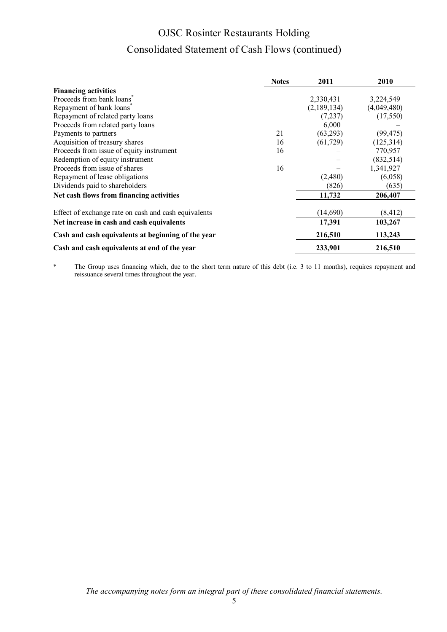## OJSC Rosinter Restaurants Holding Consolidated Statement of Cash Flows (continued)

|                                                      | <b>Notes</b> | 2011        | 2010        |
|------------------------------------------------------|--------------|-------------|-------------|
| <b>Financing activities</b>                          |              |             |             |
| Proceeds from bank loans <sup>®</sup>                |              | 2,330,431   | 3,224,549   |
| Repayment of bank loans <sup>*</sup>                 |              | (2,189,134) | (4,049,480) |
| Repayment of related party loans                     |              | (7,237)     | (17, 550)   |
| Proceeds from related party loans                    |              | 6,000       |             |
| Payments to partners                                 | 21           | (63,293)    | (99, 475)   |
| Acquisition of treasury shares                       | 16           | (61, 729)   | (125, 314)  |
| Proceeds from issue of equity instrument             | 16           |             | 770,957     |
| Redemption of equity instrument                      |              |             | (832, 514)  |
| Proceeds from issue of shares                        | 16           |             | 1,341,927   |
| Repayment of lease obligations                       |              | (2,480)     | (6,058)     |
| Dividends paid to shareholders                       |              | (826)       | (635)       |
| Net cash flows from financing activities             |              | 11,732      | 206,407     |
| Effect of exchange rate on cash and cash equivalents |              | (14,690)    | (8, 412)    |
| Net increase in cash and cash equivalents            |              | 17,391      | 103,267     |
| Cash and cash equivalents at beginning of the year   |              | 216,510     | 113,243     |
| Cash and cash equivalents at end of the year         |              | 233,901     | 216,510     |

\* The Group uses financing which, due to the short term nature of this debt (i.e. 3 to 11 months), requires repayment and reissuance several times throughout the year.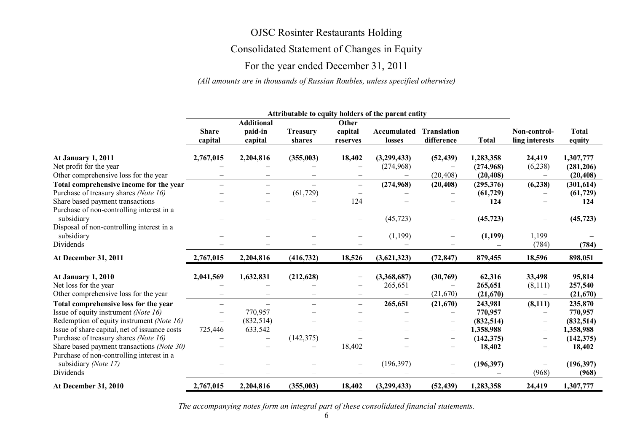### Consolidated Statement of Changes in Equity

### For the year ended December 31, 2011

### *(All amounts are in thousands of Russian Roubles, unless specified otherwise)*

|                                                                   | Attributable to equity holders of the parent entity |                                         |                           |                              |                       |                                  |              |                                |                        |
|-------------------------------------------------------------------|-----------------------------------------------------|-----------------------------------------|---------------------------|------------------------------|-----------------------|----------------------------------|--------------|--------------------------------|------------------------|
|                                                                   | <b>Share</b><br>capital                             | <b>Additional</b><br>paid-in<br>capital | <b>Treasury</b><br>shares | Other<br>capital<br>reserves | Accumulated<br>losses | <b>Translation</b><br>difference | <b>Total</b> | Non-control-<br>ling interests | <b>Total</b><br>equity |
| At January 1, 2011                                                | 2,767,015                                           | 2,204,816                               | (355,003)                 | 18,402                       | (3,299,433)           | (52, 439)                        | 1,283,358    | 24,419                         | 1,307,777              |
| Net profit for the year                                           |                                                     |                                         |                           |                              | (274,968)             |                                  | (274,968)    | (6,238)                        | (281, 206)             |
| Other comprehensive loss for the year                             |                                                     |                                         |                           | $\overline{\phantom{m}}$     |                       | (20, 408)                        | (20, 408)    |                                | (20, 408)              |
| Total comprehensive income for the year                           |                                                     | $\overline{\phantom{0}}$                | $\overline{\phantom{0}}$  | $\overline{\phantom{m}}$     | (274,968)             | (20, 408)                        | (295,376)    | (6, 238)                       | (301, 614)             |
| Purchase of treasury shares (Note 16)                             |                                                     |                                         | (61, 729)                 |                              |                       |                                  | (61, 729)    |                                | (61, 729)              |
| Share based payment transactions                                  |                                                     |                                         |                           | 124                          |                       |                                  | 124          |                                | 124                    |
| Purchase of non-controlling interest in a<br>subsidiary           |                                                     |                                         |                           | $\overline{\phantom{m}}$     | (45, 723)             |                                  | (45, 723)    |                                | (45, 723)              |
| Disposal of non-controlling interest in a<br>subsidiary           |                                                     |                                         |                           | $\overline{\phantom{m}}$     | (1, 199)              | $\overline{\phantom{m}}$         | (1,199)      | 1,199                          |                        |
| Dividends                                                         |                                                     |                                         |                           |                              |                       |                                  |              | (784)                          | (784)                  |
| At December 31, 2011                                              | 2,767,015                                           | 2,204,816                               | (416, 732)                | 18,526                       | (3,621,323)           | (72, 847)                        | 879,455      | 18,596                         | 898,051                |
| <b>At January 1, 2010</b>                                         | 2,041,569                                           | 1,632,831                               | (212, 628)                |                              | (3,368,687)           | (30, 769)                        | 62,316       | 33,498                         | 95,814                 |
| Net loss for the year                                             |                                                     |                                         |                           |                              | 265,651               | $\qquad \qquad -$                | 265,651      | (8,111)                        | 257,540                |
| Other comprehensive loss for the year                             |                                                     |                                         |                           |                              |                       | (21,670)                         | (21,670)     |                                | (21,670)               |
| Total comprehensive loss for the year                             |                                                     | $\overline{\phantom{0}}$                |                           | $\overline{\phantom{m}}$     | 265,651               | (21,670)                         | 243,981      | (8,111)                        | 235,870                |
| Issue of equity instrument (Note 16)                              | $\qquad \qquad -$                                   | 770,957                                 |                           |                              |                       | $\overline{\phantom{m}}$         | 770,957      |                                | 770,957                |
| Redemption of equity instrument (Note 16)                         |                                                     | (832, 514)                              |                           |                              |                       | $\overline{\phantom{m}}$         | (832, 514)   |                                | (832, 514)             |
| Issue of share capital, net of issuance costs                     | 725,446                                             | 633,542                                 |                           |                              |                       | $\overline{\phantom{m}}$         | 1,358,988    | $\overline{\phantom{m}}$       | 1,358,988              |
| Purchase of treasury shares (Note 16)                             |                                                     | $\overline{\phantom{0}}$                | (142, 375)                |                              |                       | $\overline{\phantom{m}}$         | (142, 375)   | $\overline{\phantom{a}}$       | (142, 375)             |
| Share based payment transactions (Note 30)                        |                                                     |                                         |                           | 18,402                       |                       |                                  | 18,402       |                                | 18,402                 |
| Purchase of non-controlling interest in a<br>subsidiary (Note 17) |                                                     |                                         |                           |                              | (196, 397)            | $\qquad \qquad -$                | (196, 397)   |                                | (196,397)              |
| Dividends                                                         |                                                     |                                         |                           |                              |                       |                                  |              | (968)                          | (968)                  |
| <b>At December 31, 2010</b>                                       | 2,767,015                                           | 2,204,816                               | (355,003)                 | 18,402                       | (3,299,433)           | (52, 439)                        | 1,283,358    | 24,419                         | 1,307,777              |

*The accompanying notes form an integral part of these consolidated financial statements.*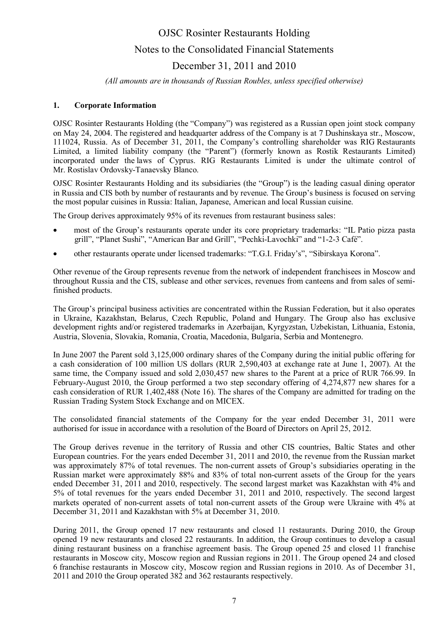## OJSC Rosinter Restaurants Holding Notes to the Consolidated Financial Statements December 31, 2011 and 2010

*(All amounts are in thousands of Russian Roubles, unless specified otherwise)* 

### **1. Corporate Information**

OJSC Rosinter Restaurants Holding (the "Company") was registered as a Russian open joint stock company on May 24, 2004. The registered and headquarter address of the Company is at 7 Dushinskaya str., Moscow, 111024, Russia. As of December 31, 2011, the Company's controlling shareholder was RIG Restaurants Limited, a limited liability company (the "Parent") (formerly known as Rostik Restaurants Limited) incorporated under the laws of Cyprus. RIG Restaurants Limited is under the ultimate control of Mr. Rostislav Ordovsky-Tanaevsky Blanco.

OJSC Rosinter Restaurants Holding and its subsidiaries (the "Group") is the leading casual dining operator in Russia and CIS both by number of restaurants and by revenue. The Group's business is focused on serving the most popular cuisines in Russia: Italian, Japanese, American and local Russian cuisine.

The Group derives approximately 95% of its revenues from restaurant business sales:

- · most of the Group's restaurants operate under its core proprietary trademarks: "IL Patio pizza pasta grill", "Planet Sushi", "American Bar and Grill", "Pechki-Lavochki" and "1-2-3 Café".
- · other restaurants operate under licensed trademarks: "T.G.I. Friday's", "Sibirskaya Korona".

Other revenue of the Group represents revenue from the network of independent franchisees in Moscow and throughout Russia and the CIS, sublease and other services, revenues from canteens and from sales of semifinished products.

The Group's principal business activities are concentrated within the Russian Federation, but it also operates in Ukraine, Kazakhstan, Belarus, Czech Republic, Poland and Hungary. The Group also has exclusive development rights and/or registered trademarks in Azerbaijan, Kyrgyzstan, Uzbekistan, Lithuania, Estonia, Austria, Slovenia, Slovakia, Romania, Croatia, Macedonia, Bulgaria, Serbia and Montenegro.

In June 2007 the Parent sold 3,125,000 ordinary shares of the Company during the initial public offering for a cash consideration of 100 million US dollars (RUR 2,590,403 at exchange rate at June 1, 2007). At the same time, the Company issued and sold 2,030,457 new shares to the Parent at a price of RUR 766.99. In February-August 2010, the Group performed a two step secondary offering of 4,274,877 new shares for a cash consideration of RUR 1,402,488 (Note 16). The shares of the Company are admitted for trading on the Russian Trading System Stock Exchange and on MICEX.

The consolidated financial statements of the Company for the year ended December 31, 2011 were authorised for issue in accordance with a resolution of the Board of Directors on April 25, 2012.

The Group derives revenue in the territory of Russia and other CIS countries, Baltic States and other European countries. For the years ended December 31, 2011 and 2010, the revenue from the Russian market was approximately 87% of total revenues. The non-current assets of Group's subsidiaries operating in the Russian market were approximately 88% and 83% of total non-current assets of the Group for the years ended December 31, 2011 and 2010, respectively. The second largest market was Kazakhstan with 4% and 5% of total revenues for the years ended December 31, 2011 and 2010, respectively. The second largest markets operated of non-current assets of total non-current assets of the Group were Ukraine with 4% at December 31, 2011 and Kazakhstan with 5% at December 31, 2010.

During 2011, the Group opened 17 new restaurants and closed 11 restaurants. During 2010, the Group opened 19 new restaurants and closed 22 restaurants. In addition, the Group continues to develop a casual dining restaurant business on a franchise agreement basis. The Group opened 25 and closed 11 franchise restaurants in Moscow city, Moscow region and Russian regions in 2011. The Group opened 24 and closed 6 franchise restaurants in Moscow city, Moscow region and Russian regions in 2010. As of December 31, 2011 and 2010 the Group operated 382 and 362 restaurants respectively.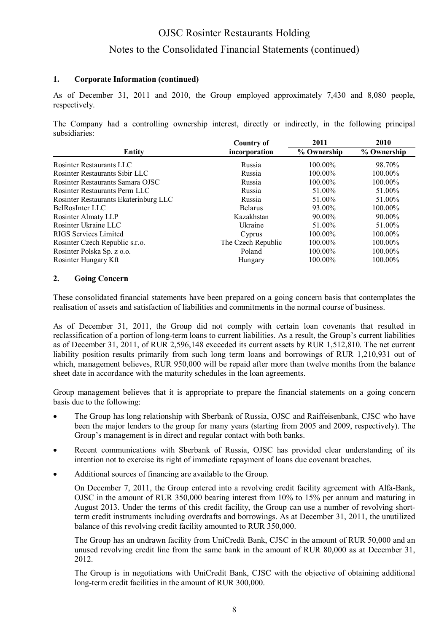### **1. Corporate Information (continued)**

As of December 31, 2011 and 2010, the Group employed approximately 7,430 and 8,080 people, respectively.

The Company had a controlling ownership interest, directly or indirectly, in the following principal subsidiaries:

|                                       | <b>Country of</b>  | 2011        | 2010        |
|---------------------------------------|--------------------|-------------|-------------|
| Entity                                | incorporation      | % Ownership | % Ownership |
| Rosinter Restaurants LLC              | Russia             | 100.00%     | 98.70%      |
| Rosinter Restaurants Sibir LLC        | Russia             | $100.00\%$  | 100.00%     |
| Rosinter Restaurants Samara OJSC      | Russia             | 100.00%     | 100.00%     |
| Rosinter Restaurants Perm LLC         | Russia             | 51.00%      | 51.00%      |
| Rosinter Restaurants Ekaterinburg LLC | Russia             | 51.00%      | 51.00%      |
| BelRosInter LLC                       | <b>Belarus</b>     | 93.00%      | 100.00%     |
| Rosinter Almaty LLP                   | Kazakhstan         | 90.00%      | 90.00%      |
| Rosinter Ukraine LLC                  | Ukraine            | 51.00%      | 51.00%      |
| RIGS Services Limited                 | Cyprus             | 100.00%     | 100.00%     |
| Rosinter Czech Republic s.r.o.        | The Czech Republic | 100.00%     | 100.00%     |
| Rosinter Polska Sp. z o.o.            | Poland             | 100.00%     | 100.00%     |
| Rosinter Hungary Kft                  | Hungary            | 100.00%     | 100.00%     |

### **2. Going Concern**

These consolidated financial statements have been prepared on a going concern basis that contemplates the realisation of assets and satisfaction of liabilities and commitments in the normal course of business.

As of December 31, 2011, the Group did not comply with certain loan covenants that resulted in reclassification of a portion of long-term loans to current liabilities. As a result, the Group's current liabilities as of December 31, 2011, of RUR 2,596,148 exceeded its current assets by RUR 1,512,810. The net current liability position results primarily from such long term loans and borrowings of RUR 1,210,931 out of which, management believes, RUR 950,000 will be repaid after more than twelve months from the balance sheet date in accordance with the maturity schedules in the loan agreements.

Group management believes that it is appropriate to prepare the financial statements on a going concern basis due to the following:

- · The Group has long relationship with Sberbank of Russia, OJSC and Raiffeisenbank, CJSC who have been the major lenders to the group for many years (starting from 2005 and 2009, respectively). The Group's management is in direct and regular contact with both banks.
- Recent communications with Sberbank of Russia, OJSC has provided clear understanding of its intention not to exercise its right of immediate repayment of loans due covenant breaches.
- Additional sources of financing are available to the Group.

On December 7, 2011, the Group entered into a revolving credit facility agreement with Alfa-Bank, OJSC in the amount of RUR 350,000 bearing interest from 10% to 15% per annum and maturing in August 2013. Under the terms of this credit facility, the Group can use a number of revolving shortterm credit instruments including overdrafts and borrowings. As at December 31, 2011, the unutilized balance of this revolving credit facility amounted to RUR 350,000.

The Group has an undrawn facility from UniCredit Bank, CJSC in the amount of RUR 50,000 and an unused revolving credit line from the same bank in the amount of RUR 80,000 as at December 31, 2012.

The Group is in negotiations with UniCredit Bank, CJSC with the objective of obtaining additional long-term credit facilities in the amount of RUR 300,000.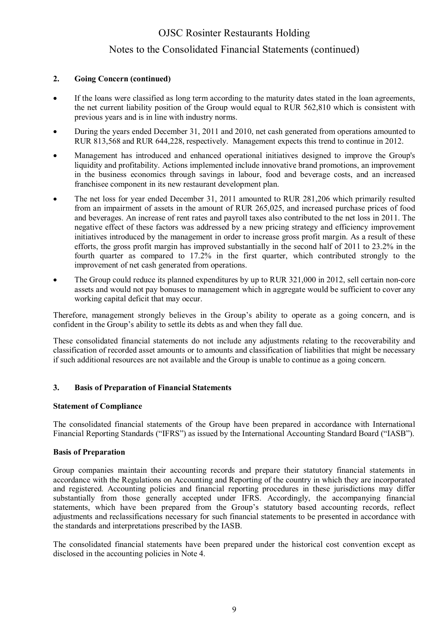### **2. Going Concern (continued)**

- · If the loans were classified as long term according to the maturity dates stated in the loan agreements, the net current liability position of the Group would equal to RUR 562,810 which is consistent with previous years and is in line with industry norms.
- During the years ended December 31, 2011 and 2010, net cash generated from operations amounted to RUR 813,568 and RUR 644,228, respectively. Management expects this trend to continue in 2012.
- · Management has introduced and enhanced operational initiatives designed to improve the Group's liquidity and profitability. Actions implemented include innovative brand promotions, an improvement in the business economics through savings in labour, food and beverage costs, and an increased franchisee component in its new restaurant development plan.
- The net loss for year ended December 31, 2011 amounted to RUR 281,206 which primarily resulted from an impairment of assets in the amount of RUR 265,025, and increased purchase prices of food and beverages. An increase of rent rates and payroll taxes also contributed to the net loss in 2011. The negative effect of these factors was addressed by a new pricing strategy and efficiency improvement initiatives introduced by the management in order to increase gross profit margin. As a result of these efforts, the gross profit margin has improved substantially in the second half of 2011 to 23.2% in the fourth quarter as compared to 17.2% in the first quarter, which contributed strongly to the improvement of net cash generated from operations.
- The Group could reduce its planned expenditures by up to RUR 321,000 in 2012, sell certain non-core assets and would not pay bonuses to management which in aggregate would be sufficient to cover any working capital deficit that may occur.

Therefore, management strongly believes in the Group's ability to operate as a going concern, and is confident in the Group's ability to settle its debts as and when they fall due.

These consolidated financial statements do not include any adjustments relating to the recoverability and classification of recorded asset amounts or to amounts and classification of liabilities that might be necessary if such additional resources are not available and the Group is unable to continue as a going concern.

### **3. Basis of Preparation of Financial Statements**

### **Statement of Compliance**

The consolidated financial statements of the Group have been prepared in accordance with International Financial Reporting Standards ("IFRS") as issued by the International Accounting Standard Board ("IASB").

### **Basis of Preparation**

Group companies maintain their accounting records and prepare their statutory financial statements in accordance with the Regulations on Accounting and Reporting of the country in which they are incorporated and registered. Accounting policies and financial reporting procedures in these jurisdictions may differ substantially from those generally accepted under IFRS. Accordingly, the accompanying financial statements, which have been prepared from the Group's statutory based accounting records, reflect adjustments and reclassifications necessary for such financial statements to be presented in accordance with the standards and interpretations prescribed by the IASB.

The consolidated financial statements have been prepared under the historical cost convention except as disclosed in the accounting policies in Note 4.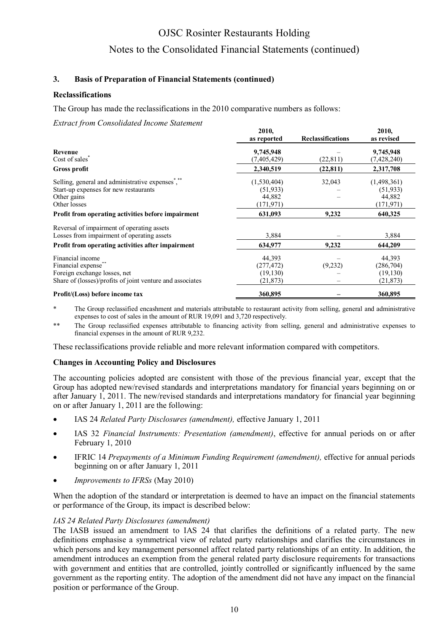### **3. Basis of Preparation of Financial Statements (continued)**

### **Reclassifications**

The Group has made the reclassifications in the 2010 comparative numbers as follows:

*Extract from Consolidated Income Statement* 

|                                                                                                                                                 | 2010<br>as reported                              | <b>Reclassifications</b> | 4010,<br>as revised                              |
|-------------------------------------------------------------------------------------------------------------------------------------------------|--------------------------------------------------|--------------------------|--------------------------------------------------|
| Revenue<br>Cost of sales <sup>®</sup>                                                                                                           | 9,745,948<br>(7,405,429)                         | (22, 811)                | 9,745,948<br>(7,428,240)                         |
| Gross profit                                                                                                                                    | 2,340,519                                        | (22, 811)                | 2,317,708                                        |
| Selling, general and administrative expenses,<br>Start-up expenses for new restaurants<br>Other gains<br>Other losses                           | (1,530,404)<br>(51, 933)<br>44,882<br>(171, 971) | 32,043                   | (1,498,361)<br>(51, 933)<br>44,882<br>(171, 971) |
| <b>Profit from operating activities before impairment</b>                                                                                       | 631,093                                          | 9,232                    | 640,325                                          |
| Reversal of impairment of operating assets<br>Losses from impairment of operating assets                                                        | 3,884                                            |                          | 3,884                                            |
| Profit from operating activities after impairment                                                                                               | 634,977                                          | 9,232                    | 644,209                                          |
| Financial income<br>Financial expense <sup>®</sup><br>Foreign exchange losses, net<br>Share of (losses)/profits of joint venture and associates | 44,393<br>(277, 472)<br>(19, 130)<br>(21, 873)   | (9, 232)                 | 44,393<br>(286, 704)<br>(19, 130)<br>(21, 873)   |
| Profit/(Loss) before income tax                                                                                                                 | 360,895                                          |                          | 360,895                                          |

**2010,**

**2010,** 

\* The Group reclassified encashment and materials attributable to restaurant activity from selling, general and administrative expenses to cost of sales in the amount of RUR 19,091 and 3,720 respectively.

\*\* The Group reclassified expenses attributable to financing activity from selling, general and administrative expenses to financial expenses in the amount of RUR 9,232.

These reclassifications provide reliable and more relevant information compared with competitors.

### **Changes in Accounting Policy and Disclosures**

The accounting policies adopted are consistent with those of the previous financial year, except that the Group has adopted new/revised standards and interpretations mandatory for financial years beginning on or after January 1, 2011. The new/revised standards and interpretations mandatory for financial year beginning on or after January 1, 2011 are the following:

- · IAS 24 *Related Party Disclosures (amendment),* effective January 1, 2011
- · IAS 32 *Financial Instruments: Presentation (amendment)*, effective for annual periods on or after February 1, 2010
- · IFRIC 14 *Prepayments of a Minimum Funding Requirement (amendment),* effective for annual periods beginning on or after January 1, 2011
- · *Improvements to IFRSs* (May 2010)

When the adoption of the standard or interpretation is deemed to have an impact on the financial statements or performance of the Group, its impact is described below:

### *IAS 24 Related Party Disclosures (amendment)*

The IASB issued an amendment to IAS 24 that clarifies the definitions of a related party. The new definitions emphasise a symmetrical view of related party relationships and clarifies the circumstances in which persons and key management personnel affect related party relationships of an entity. In addition, the amendment introduces an exemption from the general related party disclosure requirements for transactions with government and entities that are controlled, jointly controlled or significantly influenced by the same government as the reporting entity. The adoption of the amendment did not have any impact on the financial position or performance of the Group.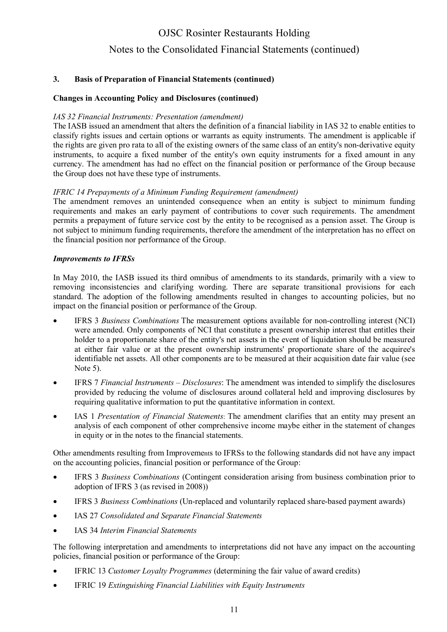### Notes to the Consolidated Financial Statements (continued)

### **3. Basis of Preparation of Financial Statements (continued)**

### **Changes in Accounting Policy and Disclosures (continued)**

### *IAS 32 Financial Instruments: Presentation (amendment)*

The IASB issued an amendment that alters the definition of a financial liability in IAS 32 to enable entities to classify rights issues and certain options or warrants as equity instruments. The amendment is applicable if the rights are given pro rata to all of the existing owners of the same class of an entity's non-derivative equity instruments, to acquire a fixed number of the entity's own equity instruments for a fixed amount in any currency. The amendment has had no effect on the financial position or performance of the Group because the Group does not have these type of instruments.

### *IFRIC 14 Prepayments of a Minimum Funding Requirement (amendment)*

The amendment removes an unintended consequence when an entity is subject to minimum funding requirements and makes an early payment of contributions to cover such requirements. The amendment permits a prepayment of future service cost by the entity to be recognised as a pension asset. The Group is not subject to minimum funding requirements, therefore the amendment of the interpretation has no effect on the financial position nor performance of the Group.

### *Improvements to IFRSs*

In May 2010, the IASB issued its third omnibus of amendments to its standards, primarily with a view to removing inconsistencies and clarifying wording. There are separate transitional provisions for each standard. The adoption of the following amendments resulted in changes to accounting policies, but no impact on the financial position or performance of the Group.

- · IFRS 3 *Business Combinations* The measurement options available for non-controlling interest (NCI) were amended. Only components of NCI that constitute a present ownership interest that entitles their holder to a proportionate share of the entity's net assets in the event of liquidation should be measured at either fair value or at the present ownership instruments' proportionate share of the acquiree's identifiable net assets. All other components are to be measured at their acquisition date fair value (see Note 5).
- · IFRS 7 *Financial Instruments – Disclosures*: The amendment was intended to simplify the disclosures provided by reducing the volume of disclosures around collateral held and improving disclosures by requiring qualitative information to put the quantitative information in context.
- · IAS 1 *Presentation of Financial Statements*: The amendment clarifies that an entity may present an analysis of each component of other comprehensive income maybe either in the statement of changes in equity or in the notes to the financial statements.

Other amendments resulting from Improvements to IFRSs to the following standards did not have any impact on the accounting policies, financial position or performance of the Group:

- · IFRS 3 *Business Combinations* (Contingent consideration arising from business combination prior to adoption of IFRS 3 (as revised in 2008))
- · IFRS 3 *Business Combinations* (Un-replaced and voluntarily replaced share-based payment awards)
- · IAS 27 *Consolidated and Separate Financial Statements*
- · IAS 34 *Interim Financial Statements*

The following interpretation and amendments to interpretations did not have any impact on the accounting policies, financial position or performance of the Group:

- · IFRIC 13 *Customer Loyalty Programmes* (determining the fair value of award credits)
- · IFRIC 19 *Extinguishing Financial Liabilities with Equity Instruments*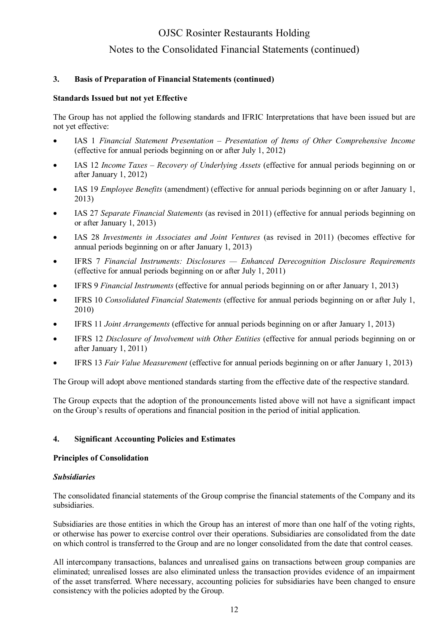### **3. Basis of Preparation of Financial Statements (continued)**

### **Standards Issued but not yet Effective**

The Group has not applied the following standards and IFRIC Interpretations that have been issued but are not yet effective:

- · IAS 1 *Financial Statement Presentation – Presentation of Items of Other Comprehensive Income* (effective for annual periods beginning on or after July 1, 2012)
- · IAS 12 *Income Taxes – Recovery of Underlying Assets* (effective for annual periods beginning on or after January 1, 2012)
- · IAS 19 *Employee Benefits* (amendment) (effective for annual periods beginning on or after January 1, 2013)
- · IAS 27 *Separate Financial Statements* (as revised in 2011) (effective for annual periods beginning on or after January 1, 2013)
- · IAS 28 *Investments in Associates and Joint Ventures* (as revised in 2011) (becomes effective for annual periods beginning on or after January 1, 2013)
- · IFRS 7 *Financial Instruments: Disclosures — Enhanced Derecognition Disclosure Requirements* (effective for annual periods beginning on or after July 1, 2011)
- · IFRS 9 *Financial Instruments* (effective for annual periods beginning on or after January 1, 2013)
- · IFRS 10 *Consolidated Financial Statements* (effective for annual periods beginning on or after July 1, 2010)
- · IFRS 11 *Joint Arrangements* (effective for annual periods beginning on or after January 1, 2013)
- · IFRS 12 *Disclosure of Involvement with Other Entities* (effective for annual periods beginning on or after January 1, 2011)
- · IFRS 13 *Fair Value Measurement* (effective for annual periods beginning on or after January 1, 2013)

The Group will adopt above mentioned standards starting from the effective date of the respective standard.

The Group expects that the adoption of the pronouncements listed above will not have a significant impact on the Group's results of operations and financial position in the period of initial application.

### **4. Significant Accounting Policies and Estimates**

### **Principles of Consolidation**

### *Subsidiaries*

The consolidated financial statements of the Group comprise the financial statements of the Company and its subsidiaries.

Subsidiaries are those entities in which the Group has an interest of more than one half of the voting rights, or otherwise has power to exercise control over their operations. Subsidiaries are consolidated from the date on which control is transferred to the Group and are no longer consolidated from the date that control ceases.

All intercompany transactions, balances and unrealised gains on transactions between group companies are eliminated; unrealised losses are also eliminated unless the transaction provides evidence of an impairment of the asset transferred. Where necessary, accounting policies for subsidiaries have been changed to ensure consistency with the policies adopted by the Group.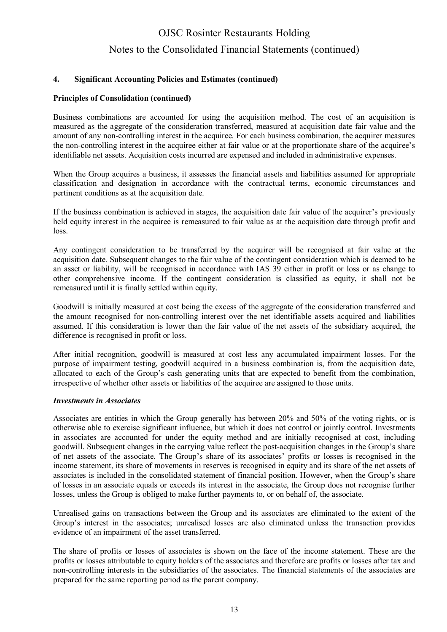### **4. Significant Accounting Policies and Estimates (continued)**

### **Principles of Consolidation (continued)**

Business combinations are accounted for using the acquisition method. The cost of an acquisition is measured as the aggregate of the consideration transferred, measured at acquisition date fair value and the amount of any non-controlling interest in the acquiree. For each business combination, the acquirer measures the non-controlling interest in the acquiree either at fair value or at the proportionate share of the acquiree's identifiable net assets. Acquisition costs incurred are expensed and included in administrative expenses.

When the Group acquires a business, it assesses the financial assets and liabilities assumed for appropriate classification and designation in accordance with the contractual terms, economic circumstances and pertinent conditions as at the acquisition date.

If the business combination is achieved in stages, the acquisition date fair value of the acquirer's previously held equity interest in the acquiree is remeasured to fair value as at the acquisition date through profit and loss.

Any contingent consideration to be transferred by the acquirer will be recognised at fair value at the acquisition date. Subsequent changes to the fair value of the contingent consideration which is deemed to be an asset or liability, will be recognised in accordance with IAS 39 either in profit or loss or as change to other comprehensive income. If the contingent consideration is classified as equity, it shall not be remeasured until it is finally settled within equity.

Goodwill is initially measured at cost being the excess of the aggregate of the consideration transferred and the amount recognised for non-controlling interest over the net identifiable assets acquired and liabilities assumed. If this consideration is lower than the fair value of the net assets of the subsidiary acquired, the difference is recognised in profit or loss.

After initial recognition, goodwill is measured at cost less any accumulated impairment losses. For the purpose of impairment testing, goodwill acquired in a business combination is, from the acquisition date, allocated to each of the Group's cash generating units that are expected to benefit from the combination, irrespective of whether other assets or liabilities of the acquiree are assigned to those units.

### *Investments in Associates*

Associates are entities in which the Group generally has between 20% and 50% of the voting rights, or is otherwise able to exercise significant influence, but which it does not control or jointly control. Investments in associates are accounted for under the equity method and are initially recognised at cost, including goodwill. Subsequent changes in the carrying value reflect the post-acquisition changes in the Group's share of net assets of the associate. The Group's share of its associates' profits or losses is recognised in the income statement, its share of movements in reserves is recognised in equity and its share of the net assets of associates is included in the consolidated statement of financial position. However, when the Group's share of losses in an associate equals or exceeds its interest in the associate, the Group does not recognise further losses, unless the Group is obliged to make further payments to, or on behalf of, the associate.

Unrealised gains on transactions between the Group and its associates are eliminated to the extent of the Group's interest in the associates; unrealised losses are also eliminated unless the transaction provides evidence of an impairment of the asset transferred.

The share of profits or losses of associates is shown on the face of the income statement. These are the profits or losses attributable to equity holders of the associates and therefore are profits or losses after tax and non-controlling interests in the subsidiaries of the associates. The financial statements of the associates are prepared for the same reporting period as the parent company.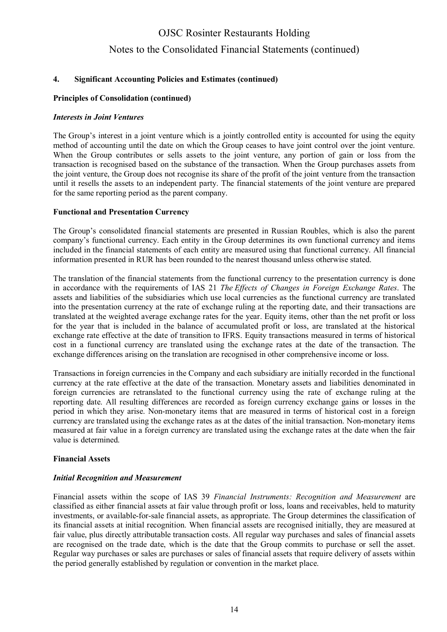### **4. Significant Accounting Policies and Estimates (continued)**

### **Principles of Consolidation (continued)**

### *Interests in Joint Ventures*

The Group's interest in a joint venture which is a jointly controlled entity is accounted for using the equity method of accounting until the date on which the Group ceases to have joint control over the joint venture. When the Group contributes or sells assets to the joint venture, any portion of gain or loss from the transaction is recognised based on the substance of the transaction. When the Group purchases assets from the joint venture, the Group does not recognise its share of the profit of the joint venture from the transaction until it resells the assets to an independent party. The financial statements of the joint venture are prepared for the same reporting period as the parent company.

### **Functional and Presentation Currency**

The Group's consolidated financial statements are presented in Russian Roubles, which is also the parent company's functional currency. Each entity in the Group determines its own functional currency and items included in the financial statements of each entity are measured using that functional currency. All financial information presented in RUR has been rounded to the nearest thousand unless otherwise stated.

The translation of the financial statements from the functional currency to the presentation currency is done in accordance with the requirements of IAS 21 *The Effects of Changes in Foreign Exchange Rates*. The assets and liabilities of the subsidiaries which use local currencies as the functional currency are translated into the presentation currency at the rate of exchange ruling at the reporting date, and their transactions are translated at the weighted average exchange rates for the year. Equity items, other than the net profit or loss for the year that is included in the balance of accumulated profit or loss, are translated at the historical exchange rate effective at the date of transition to IFRS. Equity transactions measured in terms of historical cost in a functional currency are translated using the exchange rates at the date of the transaction. The exchange differences arising on the translation are recognised in other comprehensive income or loss.

Transactions in foreign currencies in the Company and each subsidiary are initially recorded in the functional currency at the rate effective at the date of the transaction. Monetary assets and liabilities denominated in foreign currencies are retranslated to the functional currency using the rate of exchange ruling at the reporting date. All resulting differences are recorded as foreign currency exchange gains or losses in the period in which they arise. Non-monetary items that are measured in terms of historical cost in a foreign currency are translated using the exchange rates as at the dates of the initial transaction. Non-monetary items measured at fair value in a foreign currency are translated using the exchange rates at the date when the fair value is determined.

### **Financial Assets**

### *Initial Recognition and Measurement*

Financial assets within the scope of IAS 39 *Financial Instruments: Recognition and Measurement* are classified as either financial assets at fair value through profit or loss, loans and receivables, held to maturity investments, or available-for-sale financial assets, as appropriate. The Group determines the classification of its financial assets at initial recognition. When financial assets are recognised initially, they are measured at fair value, plus directly attributable transaction costs. All regular way purchases and sales of financial assets are recognised on the trade date, which is the date that the Group commits to purchase or sell the asset. Regular way purchases or sales are purchases or sales of financial assets that require delivery of assets within the period generally established by regulation or convention in the market place.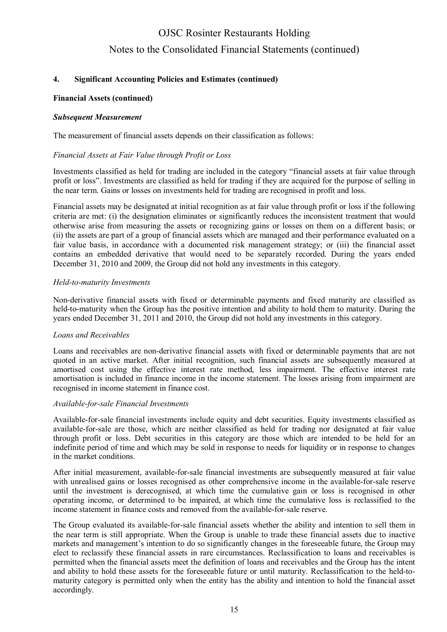### **4. Significant Accounting Policies and Estimates (continued)**

### **Financial Assets (continued)**

### *Subsequent Measurement*

The measurement of financial assets depends on their classification as follows:

### *Financial Assets at Fair Value through Profit or Loss*

Investments classified as held for trading are included in the category "financial assets at fair value through profit or loss". Investments are classified as held for trading if they are acquired for the purpose of selling in the near term. Gains or losses on investments held for trading are recognised in profit and loss.

Financial assets may be designated at initial recognition as at fair value through profit or loss if the following criteria are met: (i) the designation eliminates or significantly reduces the inconsistent treatment that would otherwise arise from measuring the assets or recognizing gains or losses on them on a different basis; or (ii) the assets are part of a group of financial assets which are managed and their performance evaluated on a fair value basis, in accordance with a documented risk management strategy; or (iii) the financial asset contains an embedded derivative that would need to be separately recorded. During the years ended December 31, 2010 and 2009, the Group did not hold any investments in this category.

### *Held-to-maturity Investments*

Non-derivative financial assets with fixed or determinable payments and fixed maturity are classified as held-to-maturity when the Group has the positive intention and ability to hold them to maturity. During the years ended December 31, 2011 and 2010, the Group did not hold any investments in this category.

### *Loans and Receivables*

Loans and receivables are non-derivative financial assets with fixed or determinable payments that are not quoted in an active market. After initial recognition, such financial assets are subsequently measured at amortised cost using the effective interest rate method, less impairment. The effective interest rate amortisation is included in finance income in the income statement. The losses arising from impairment are recognised in income statement in finance cost.

### *Available-for-sale Financial Investments*

Available-for-sale financial investments include equity and debt securities. Equity investments classified as available-for-sale are those, which are neither classified as held for trading nor designated at fair value through profit or loss. Debt securities in this category are those which are intended to be held for an indefinite period of time and which may be sold in response to needs for liquidity or in response to changes in the market conditions.

After initial measurement, available-for-sale financial investments are subsequently measured at fair value with unrealised gains or losses recognised as other comprehensive income in the available-for-sale reserve until the investment is derecognised, at which time the cumulative gain or loss is recognised in other operating income, or determined to be impaired, at which time the cumulative loss is reclassified to the income statement in finance costs and removed from the available-for-sale reserve.

The Group evaluated its available-for-sale financial assets whether the ability and intention to sell them in the near term is still appropriate. When the Group is unable to trade these financial assets due to inactive markets and management's intention to do so significantly changes in the foreseeable future, the Group may elect to reclassify these financial assets in rare circumstances. Reclassification to loans and receivables is permitted when the financial assets meet the definition of loans and receivables and the Group has the intent and ability to hold these assets for the foreseeable future or until maturity. Reclassification to the held-tomaturity category is permitted only when the entity has the ability and intention to hold the financial asset accordingly.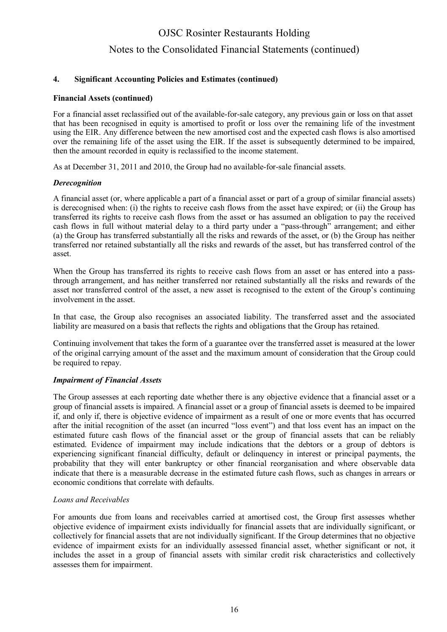### **4. Significant Accounting Policies and Estimates (continued)**

### **Financial Assets (continued)**

For a financial asset reclassified out of the available-for-sale category, any previous gain or loss on that asset that has been recognised in equity is amortised to profit or loss over the remaining life of the investment using the EIR. Any difference between the new amortised cost and the expected cash flows is also amortised over the remaining life of the asset using the EIR. If the asset is subsequently determined to be impaired, then the amount recorded in equity is reclassified to the income statement.

As at December 31, 2011 and 2010, the Group had no available-for-sale financial assets.

### *Derecognition*

A financial asset (or, where applicable a part of a financial asset or part of a group of similar financial assets) is derecognised when: (i) the rights to receive cash flows from the asset have expired; or (ii) the Group has transferred its rights to receive cash flows from the asset or has assumed an obligation to pay the received cash flows in full without material delay to a third party under a "pass-through" arrangement; and either (a) the Group has transferred substantially all the risks and rewards of the asset, or (b) the Group has neither transferred nor retained substantially all the risks and rewards of the asset, but has transferred control of the asset.

When the Group has transferred its rights to receive cash flows from an asset or has entered into a passthrough arrangement, and has neither transferred nor retained substantially all the risks and rewards of the asset nor transferred control of the asset, a new asset is recognised to the extent of the Group's continuing involvement in the asset.

In that case, the Group also recognises an associated liability. The transferred asset and the associated liability are measured on a basis that reflects the rights and obligations that the Group has retained.

Continuing involvement that takes the form of a guarantee over the transferred asset is measured at the lower of the original carrying amount of the asset and the maximum amount of consideration that the Group could be required to repay.

### *Impairment of Financial Assets*

The Group assesses at each reporting date whether there is any objective evidence that a financial asset or a group of financial assets is impaired. A financial asset or a group of financial assets is deemed to be impaired if, and only if, there is objective evidence of impairment as a result of one or more events that has occurred after the initial recognition of the asset (an incurred "loss event") and that loss event has an impact on the estimated future cash flows of the financial asset or the group of financial assets that can be reliably estimated. Evidence of impairment may include indications that the debtors or a group of debtors is experiencing significant financial difficulty, default or delinquency in interest or principal payments, the probability that they will enter bankruptcy or other financial reorganisation and where observable data indicate that there is a measurable decrease in the estimated future cash flows, such as changes in arrears or economic conditions that correlate with defaults.

### *Loans and Receivables*

For amounts due from loans and receivables carried at amortised cost, the Group first assesses whether objective evidence of impairment exists individually for financial assets that are individually significant, or collectively for financial assets that are not individually significant. If the Group determines that no objective evidence of impairment exists for an individually assessed financial asset, whether significant or not, it includes the asset in a group of financial assets with similar credit risk characteristics and collectively assesses them for impairment.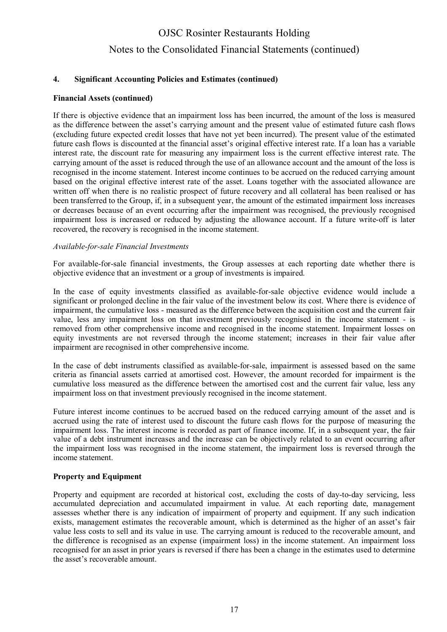### **4. Significant Accounting Policies and Estimates (continued)**

### **Financial Assets (continued)**

If there is objective evidence that an impairment loss has been incurred, the amount of the loss is measured as the difference between the asset's carrying amount and the present value of estimated future cash flows (excluding future expected credit losses that have not yet been incurred). The present value of the estimated future cash flows is discounted at the financial asset's original effective interest rate. If a loan has a variable interest rate, the discount rate for measuring any impairment loss is the current effective interest rate. The carrying amount of the asset is reduced through the use of an allowance account and the amount of the loss is recognised in the income statement. Interest income continues to be accrued on the reduced carrying amount based on the original effective interest rate of the asset. Loans together with the associated allowance are written off when there is no realistic prospect of future recovery and all collateral has been realised or has been transferred to the Group, if, in a subsequent year, the amount of the estimated impairment loss increases or decreases because of an event occurring after the impairment was recognised, the previously recognised impairment loss is increased or reduced by adjusting the allowance account. If a future write-off is later recovered, the recovery is recognised in the income statement.

### *Available-for-sale Financial Investments*

For available-for-sale financial investments, the Group assesses at each reporting date whether there is objective evidence that an investment or a group of investments is impaired.

In the case of equity investments classified as available-for-sale objective evidence would include a significant or prolonged decline in the fair value of the investment below its cost. Where there is evidence of impairment, the cumulative loss - measured as the difference between the acquisition cost and the current fair value, less any impairment loss on that investment previously recognised in the income statement - is removed from other comprehensive income and recognised in the income statement. Impairment losses on equity investments are not reversed through the income statement; increases in their fair value after impairment are recognised in other comprehensive income.

In the case of debt instruments classified as available-for-sale, impairment is assessed based on the same criteria as financial assets carried at amortised cost. However, the amount recorded for impairment is the cumulative loss measured as the difference between the amortised cost and the current fair value, less any impairment loss on that investment previously recognised in the income statement.

Future interest income continues to be accrued based on the reduced carrying amount of the asset and is accrued using the rate of interest used to discount the future cash flows for the purpose of measuring the impairment loss. The interest income is recorded as part of finance income. If, in a subsequent year, the fair value of a debt instrument increases and the increase can be objectively related to an event occurring after the impairment loss was recognised in the income statement, the impairment loss is reversed through the income statement.

### **Property and Equipment**

Property and equipment are recorded at historical cost, excluding the costs of day-to-day servicing, less accumulated depreciation and accumulated impairment in value. At each reporting date, management assesses whether there is any indication of impairment of property and equipment. If any such indication exists, management estimates the recoverable amount, which is determined as the higher of an asset's fair value less costs to sell and its value in use. The carrying amount is reduced to the recoverable amount, and the difference is recognised as an expense (impairment loss) in the income statement. An impairment loss recognised for an asset in prior years is reversed if there has been a change in the estimates used to determine the asset's recoverable amount.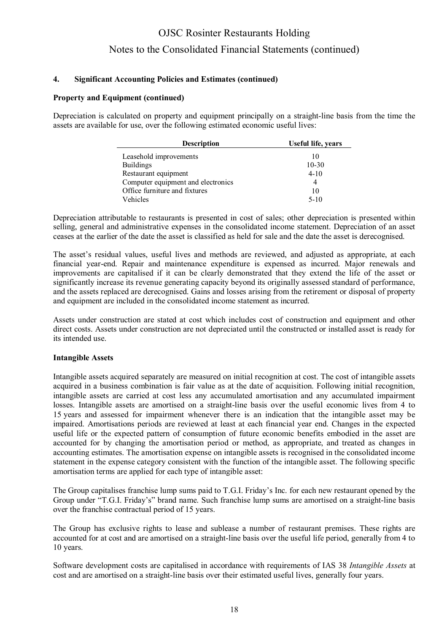### **4. Significant Accounting Policies and Estimates (continued)**

### **Property and Equipment (continued)**

Depreciation is calculated on property and equipment principally on a straight-line basis from the time the assets are available for use, over the following estimated economic useful lives:

| <b>Description</b>                 | Useful life, years |
|------------------------------------|--------------------|
| Leasehold improvements             | 10                 |
| <b>Buildings</b>                   | $10-30$            |
| Restaurant equipment               | $4 - 10$           |
| Computer equipment and electronics |                    |
| Office furniture and fixtures      | 10                 |
| Vehicles                           | $5-10$             |

Depreciation attributable to restaurants is presented in cost of sales; other depreciation is presented within selling, general and administrative expenses in the consolidated income statement. Depreciation of an asset ceases at the earlier of the date the asset is classified as held for sale and the date the asset is derecognised.

The asset's residual values, useful lives and methods are reviewed, and adjusted as appropriate, at each financial year-end. Repair and maintenance expenditure is expensed as incurred. Major renewals and improvements are capitalised if it can be clearly demonstrated that they extend the life of the asset or significantly increase its revenue generating capacity beyond its originally assessed standard of performance, and the assets replaced are derecognised. Gains and losses arising from the retirement or disposal of property and equipment are included in the consolidated income statement as incurred.

Assets under construction are stated at cost which includes cost of construction and equipment and other direct costs. Assets under construction are not depreciated until the constructed or installed asset is ready for its intended use.

### **Intangible Assets**

Intangible assets acquired separately are measured on initial recognition at cost. The cost of intangible assets acquired in a business combination is fair value as at the date of acquisition. Following initial recognition, intangible assets are carried at cost less any accumulated amortisation and any accumulated impairment losses. Intangible assets are amortised on a straight-line basis over the useful economic lives from 4 to 15 years and assessed for impairment whenever there is an indication that the intangible asset may be impaired. Amortisations periods are reviewed at least at each financial year end. Changes in the expected useful life or the expected pattern of consumption of future economic benefits embodied in the asset are accounted for by changing the amortisation period or method, as appropriate, and treated as changes in accounting estimates. The amortisation expense on intangible assets is recognised in the consolidated income statement in the expense category consistent with the function of the intangible asset. The following specific amortisation terms are applied for each type of intangible asset:

The Group capitalises franchise lump sums paid to T.G.I. Friday's Inc. for each new restaurant opened by the Group under "T.G.I. Friday's" brand name. Such franchise lump sums are amortised on a straight-line basis over the franchise contractual period of 15 years.

The Group has exclusive rights to lease and sublease a number of restaurant premises. These rights are accounted for at cost and are amortised on a straight-line basis over the useful life period, generally from 4 to 10 years.

Software development costs are capitalised in accordance with requirements of IAS 38 *Intangible Assets* at cost and are amortised on a straight-line basis over their estimated useful lives, generally four years.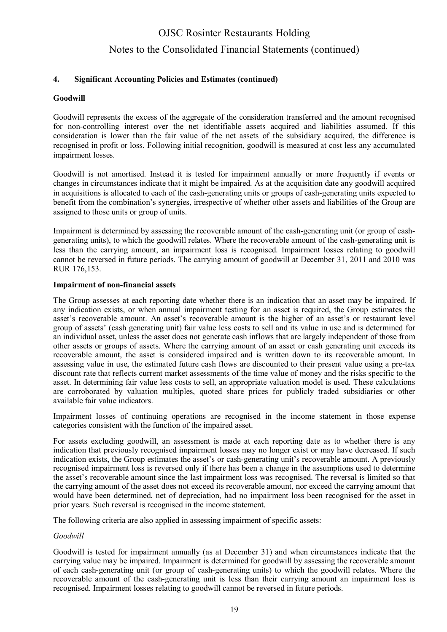### **4. Significant Accounting Policies and Estimates (continued)**

### **Goodwill**

Goodwill represents the excess of the aggregate of the consideration transferred and the amount recognised for non-controlling interest over the net identifiable assets acquired and liabilities assumed. If this consideration is lower than the fair value of the net assets of the subsidiary acquired, the difference is recognised in profit or loss. Following initial recognition, goodwill is measured at cost less any accumulated impairment losses.

Goodwill is not amortised. Instead it is tested for impairment annually or more frequently if events or changes in circumstances indicate that it might be impaired. As at the acquisition date any goodwill acquired in acquisitions is allocated to each of the cash-generating units or groups of cash-generating units expected to benefit from the combination's synergies, irrespective of whether other assets and liabilities of the Group are assigned to those units or group of units.

Impairment is determined by assessing the recoverable amount of the cash-generating unit (or group of cashgenerating units), to which the goodwill relates. Where the recoverable amount of the cash-generating unit is less than the carrying amount, an impairment loss is recognised. Impairment losses relating to goodwill cannot be reversed in future periods. The carrying amount of goodwill at December 31, 2011 and 2010 was RUR 176,153.

### **Impairment of non-financial assets**

The Group assesses at each reporting date whether there is an indication that an asset may be impaired. If any indication exists, or when annual impairment testing for an asset is required, the Group estimates the asset's recoverable amount. An asset's recoverable amount is the higher of an asset's or restaurant level group of assets' (cash generating unit) fair value less costs to sell and its value in use and is determined for an individual asset, unless the asset does not generate cash inflows that are largely independent of those from other assets or groups of assets. Where the carrying amount of an asset or cash generating unit exceeds its recoverable amount, the asset is considered impaired and is written down to its recoverable amount. In assessing value in use, the estimated future cash flows are discounted to their present value using a pre-tax discount rate that reflects current market assessments of the time value of money and the risks specific to the asset. In determining fair value less costs to sell, an appropriate valuation model is used. These calculations are corroborated by valuation multiples, quoted share prices for publicly traded subsidiaries or other available fair value indicators.

Impairment losses of continuing operations are recognised in the income statement in those expense categories consistent with the function of the impaired asset.

For assets excluding goodwill, an assessment is made at each reporting date as to whether there is any indication that previously recognised impairment losses may no longer exist or may have decreased. If such indication exists, the Group estimates the asset's or cash-generating unit's recoverable amount. A previously recognised impairment loss is reversed only if there has been a change in the assumptions used to determine the asset's recoverable amount since the last impairment loss was recognised. The reversal is limited so that the carrying amount of the asset does not exceed its recoverable amount, nor exceed the carrying amount that would have been determined, net of depreciation, had no impairment loss been recognised for the asset in prior years. Such reversal is recognised in the income statement.

The following criteria are also applied in assessing impairment of specific assets:

### *Goodwill*

Goodwill is tested for impairment annually (as at December 31) and when circumstances indicate that the carrying value may be impaired. Impairment is determined for goodwill by assessing the recoverable amount of each cash-generating unit (or group of cash-generating units) to which the goodwill relates. Where the recoverable amount of the cash-generating unit is less than their carrying amount an impairment loss is recognised. Impairment losses relating to goodwill cannot be reversed in future periods.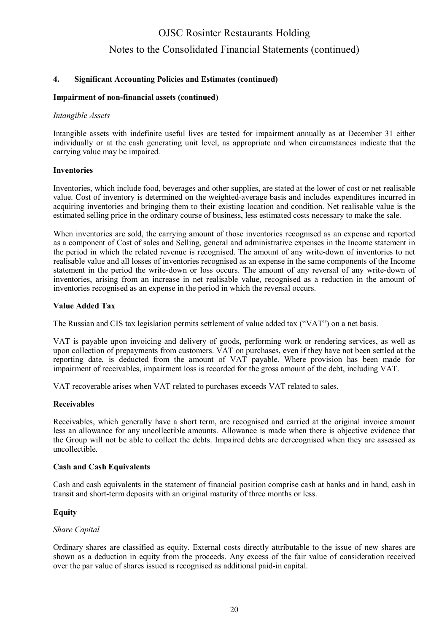### **4. Significant Accounting Policies and Estimates (continued)**

### **Impairment of non-financial assets (continued)**

### *Intangible Assets*

Intangible assets with indefinite useful lives are tested for impairment annually as at December 31 either individually or at the cash generating unit level, as appropriate and when circumstances indicate that the carrying value may be impaired.

### **Inventories**

Inventories, which include food, beverages and other supplies, are stated at the lower of cost or net realisable value. Cost of inventory is determined on the weighted-average basis and includes expenditures incurred in acquiring inventories and bringing them to their existing location and condition. Net realisable value is the estimated selling price in the ordinary course of business, less estimated costs necessary to make the sale.

When inventories are sold, the carrying amount of those inventories recognised as an expense and reported as a component of Cost of sales and Selling, general and administrative expenses in the Income statement in the period in which the related revenue is recognised. The amount of any write-down of inventories to net realisable value and all losses of inventories recognised as an expense in the same components of the Income statement in the period the write-down or loss occurs. The amount of any reversal of any write-down of inventories, arising from an increase in net realisable value, recognised as a reduction in the amount of inventories recognised as an expense in the period in which the reversal occurs.

### **Value Added Tax**

The Russian and CIS tax legislation permits settlement of value added tax ("VAT") on a net basis.

VAT is payable upon invoicing and delivery of goods, performing work or rendering services, as well as upon collection of prepayments from customers. VAT on purchases, even if they have not been settled at the reporting date, is deducted from the amount of VAT payable. Where provision has been made for impairment of receivables, impairment loss is recorded for the gross amount of the debt, including VAT.

VAT recoverable arises when VAT related to purchases exceeds VAT related to sales.

### **Receivables**

Receivables, which generally have a short term, are recognised and carried at the original invoice amount less an allowance for any uncollectible amounts. Allowance is made when there is objective evidence that the Group will not be able to collect the debts. Impaired debts are derecognised when they are assessed as uncollectible.

### **Cash and Cash Equivalents**

Cash and cash equivalents in the statement of financial position comprise cash at banks and in hand, cash in transit and short-term deposits with an original maturity of three months or less.

### **Equity**

### *Share Capital*

Ordinary shares are classified as equity. External costs directly attributable to the issue of new shares are shown as a deduction in equity from the proceeds. Any excess of the fair value of consideration received over the par value of shares issued is recognised as additional paid-in capital.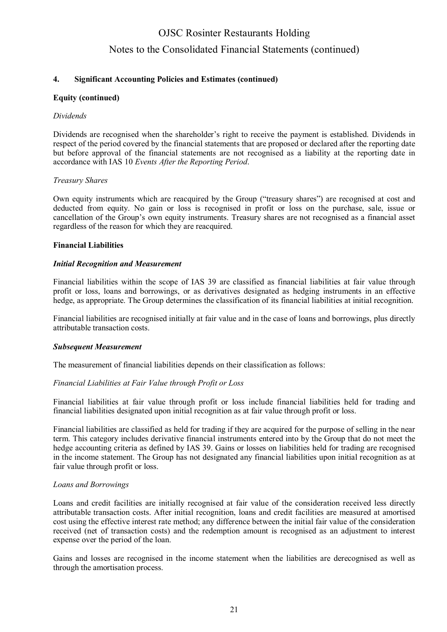### **4. Significant Accounting Policies and Estimates (continued)**

### **Equity (continued)**

### *Dividends*

Dividends are recognised when the shareholder's right to receive the payment is established. Dividends in respect of the period covered by the financial statements that are proposed or declared after the reporting date but before approval of the financial statements are not recognised as a liability at the reporting date in accordance with IAS 10 *Events After the Reporting Period*.

### *Treasury Shares*

Own equity instruments which are reacquired by the Group ("treasury shares") are recognised at cost and deducted from equity. No gain or loss is recognised in profit or loss on the purchase, sale, issue or cancellation of the Group's own equity instruments. Treasury shares are not recognised as a financial asset regardless of the reason for which they are reacquired.

### **Financial Liabilities**

### *Initial Recognition and Measurement*

Financial liabilities within the scope of IAS 39 are classified as financial liabilities at fair value through profit or loss, loans and borrowings, or as derivatives designated as hedging instruments in an effective hedge, as appropriate. The Group determines the classification of its financial liabilities at initial recognition.

Financial liabilities are recognised initially at fair value and in the case of loans and borrowings, plus directly attributable transaction costs.

### *Subsequent Measurement*

The measurement of financial liabilities depends on their classification as follows:

### *Financial Liabilities at Fair Value through Profit or Loss*

Financial liabilities at fair value through profit or loss include financial liabilities held for trading and financial liabilities designated upon initial recognition as at fair value through profit or loss.

Financial liabilities are classified as held for trading if they are acquired for the purpose of selling in the near term. This category includes derivative financial instruments entered into by the Group that do not meet the hedge accounting criteria as defined by IAS 39. Gains or losses on liabilities held for trading are recognised in the income statement. The Group has not designated any financial liabilities upon initial recognition as at fair value through profit or loss.

### *Loans and Borrowings*

Loans and credit facilities are initially recognised at fair value of the consideration received less directly attributable transaction costs. After initial recognition, loans and credit facilities are measured at amortised cost using the effective interest rate method; any difference between the initial fair value of the consideration received (net of transaction costs) and the redemption amount is recognised as an adjustment to interest expense over the period of the loan.

Gains and losses are recognised in the income statement when the liabilities are derecognised as well as through the amortisation process.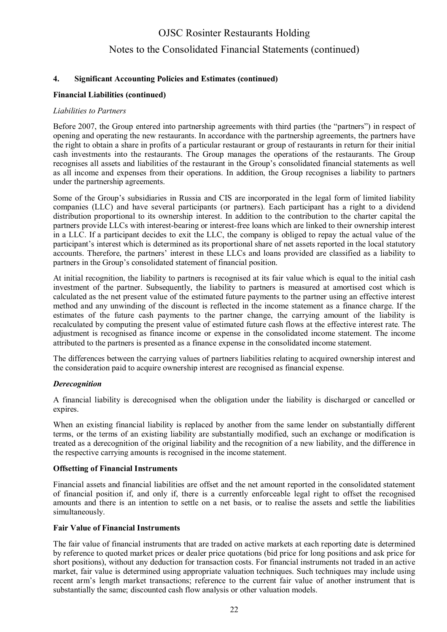### **4. Significant Accounting Policies and Estimates (continued)**

### **Financial Liabilities (continued)**

### *Liabilities to Partners*

Before 2007, the Group entered into partnership agreements with third parties (the "partners") in respect of opening and operating the new restaurants. In accordance with the partnership agreements, the partners have the right to obtain a share in profits of a particular restaurant or group of restaurants in return for their initial cash investments into the restaurants. The Group manages the operations of the restaurants. The Group recognises all assets and liabilities of the restaurant in the Group's consolidated financial statements as well as all income and expenses from their operations. In addition, the Group recognises a liability to partners under the partnership agreements.

Some of the Group's subsidiaries in Russia and CIS are incorporated in the legal form of limited liability companies (LLC) and have several participants (or partners). Each participant has a right to a dividend distribution proportional to its ownership interest. In addition to the contribution to the charter capital the partners provide LLCs with interest-bearing or interest-free loans which are linked to their ownership interest in a LLC. If a participant decides to exit the LLC, the company is obliged to repay the actual value of the participant's interest which is determined as its proportional share of net assets reported in the local statutory accounts. Therefore, the partners' interest in these LLCs and loans provided are classified as a liability to partners in the Group's consolidated statement of financial position.

At initial recognition, the liability to partners is recognised at its fair value which is equal to the initial cash investment of the partner. Subsequently, the liability to partners is measured at amortised cost which is calculated as the net present value of the estimated future payments to the partner using an effective interest method and any unwinding of the discount is reflected in the income statement as a finance charge. If the estimates of the future cash payments to the partner change, the carrying amount of the liability is recalculated by computing the present value of estimated future cash flows at the effective interest rate. The adjustment is recognised as finance income or expense in the consolidated income statement. The income attributed to the partners is presented as a finance expense in the consolidated income statement.

The differences between the carrying values of partners liabilities relating to acquired ownership interest and the consideration paid to acquire ownership interest are recognised as financial expense.

### *Derecognition*

A financial liability is derecognised when the obligation under the liability is discharged or cancelled or expires.

When an existing financial liability is replaced by another from the same lender on substantially different terms, or the terms of an existing liability are substantially modified, such an exchange or modification is treated as a derecognition of the original liability and the recognition of a new liability, and the difference in the respective carrying amounts is recognised in the income statement.

### **Offsetting of Financial Instruments**

Financial assets and financial liabilities are offset and the net amount reported in the consolidated statement of financial position if, and only if, there is a currently enforceable legal right to offset the recognised amounts and there is an intention to settle on a net basis, or to realise the assets and settle the liabilities simultaneously.

### **Fair Value of Financial Instruments**

The fair value of financial instruments that are traded on active markets at each reporting date is determined by reference to quoted market prices or dealer price quotations (bid price for long positions and ask price for short positions), without any deduction for transaction costs. For financial instruments not traded in an active market, fair value is determined using appropriate valuation techniques. Such techniques may include using recent arm's length market transactions; reference to the current fair value of another instrument that is substantially the same; discounted cash flow analysis or other valuation models.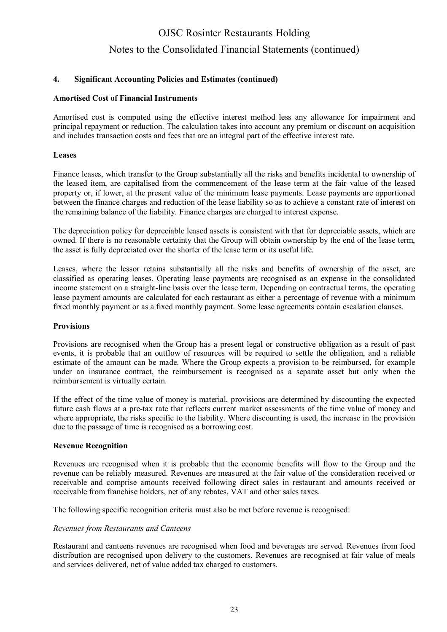### **4. Significant Accounting Policies and Estimates (continued)**

#### **Amortised Cost of Financial Instruments**

Amortised cost is computed using the effective interest method less any allowance for impairment and principal repayment or reduction. The calculation takes into account any premium or discount on acquisition and includes transaction costs and fees that are an integral part of the effective interest rate.

#### **Leases**

Finance leases, which transfer to the Group substantially all the risks and benefits incidental to ownership of the leased item, are capitalised from the commencement of the lease term at the fair value of the leased property or, if lower, at the present value of the minimum lease payments. Lease payments are apportioned between the finance charges and reduction of the lease liability so as to achieve a constant rate of interest on the remaining balance of the liability. Finance charges are charged to interest expense.

The depreciation policy for depreciable leased assets is consistent with that for depreciable assets, which are owned. If there is no reasonable certainty that the Group will obtain ownership by the end of the lease term, the asset is fully depreciated over the shorter of the lease term or its useful life.

Leases, where the lessor retains substantially all the risks and benefits of ownership of the asset, are classified as operating leases. Operating lease payments are recognised as an expense in the consolidated income statement on a straight-line basis over the lease term. Depending on contractual terms, the operating lease payment amounts are calculated for each restaurant as either a percentage of revenue with a minimum fixed monthly payment or as a fixed monthly payment. Some lease agreements contain escalation clauses.

### **Provisions**

Provisions are recognised when the Group has a present legal or constructive obligation as a result of past events, it is probable that an outflow of resources will be required to settle the obligation, and a reliable estimate of the amount can be made. Where the Group expects a provision to be reimbursed, for example under an insurance contract, the reimbursement is recognised as a separate asset but only when the reimbursement is virtually certain.

If the effect of the time value of money is material, provisions are determined by discounting the expected future cash flows at a pre-tax rate that reflects current market assessments of the time value of money and where appropriate, the risks specific to the liability. Where discounting is used, the increase in the provision due to the passage of time is recognised as a borrowing cost.

### **Revenue Recognition**

Revenues are recognised when it is probable that the economic benefits will flow to the Group and the revenue can be reliably measured. Revenues are measured at the fair value of the consideration received or receivable and comprise amounts received following direct sales in restaurant and amounts received or receivable from franchise holders, net of any rebates, VAT and other sales taxes.

The following specific recognition criteria must also be met before revenue is recognised:

### *Revenues from Restaurants and Canteens*

Restaurant and canteens revenues are recognised when food and beverages are served. Revenues from food distribution are recognised upon delivery to the customers. Revenues are recognised at fair value of meals and services delivered, net of value added tax charged to customers.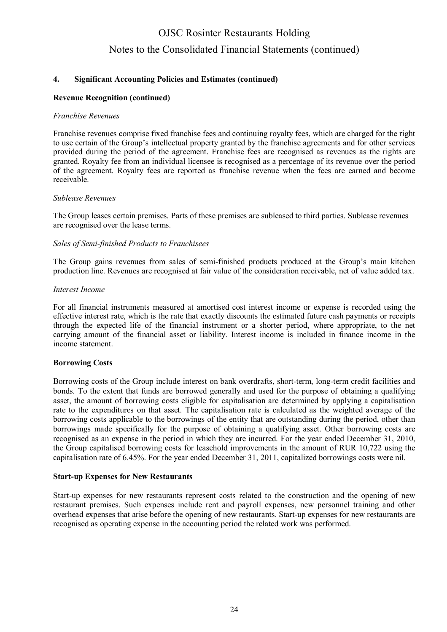### **4. Significant Accounting Policies and Estimates (continued)**

### **Revenue Recognition (continued)**

### *Franchise Revenues*

Franchise revenues comprise fixed franchise fees and continuing royalty fees, which are charged for the right to use certain of the Group's intellectual property granted by the franchise agreements and for other services provided during the period of the agreement. Franchise fees are recognised as revenues as the rights are granted. Royalty fee from an individual licensee is recognised as a percentage of its revenue over the period of the agreement. Royalty fees are reported as franchise revenue when the fees are earned and become receivable.

### *Sublease Revenues*

The Group leases certain premises. Parts of these premises are subleased to third parties. Sublease revenues are recognised over the lease terms.

### *Sales of Semi-finished Products to Franchisees*

The Group gains revenues from sales of semi-finished products produced at the Group's main kitchen production line. Revenues are recognised at fair value of the consideration receivable, net of value added tax.

### *Interest Income*

For all financial instruments measured at amortised cost interest income or expense is recorded using the effective interest rate, which is the rate that exactly discounts the estimated future cash payments or receipts through the expected life of the financial instrument or a shorter period, where appropriate, to the net carrying amount of the financial asset or liability. Interest income is included in finance income in the income statement.

### **Borrowing Costs**

Borrowing costs of the Group include interest on bank overdrafts, short-term, long-term credit facilities and bonds. To the extent that funds are borrowed generally and used for the purpose of obtaining a qualifying asset, the amount of borrowing costs eligible for capitalisation are determined by applying a capitalisation rate to the expenditures on that asset. The capitalisation rate is calculated as the weighted average of the borrowing costs applicable to the borrowings of the entity that are outstanding during the period, other than borrowings made specifically for the purpose of obtaining a qualifying asset. Other borrowing costs are recognised as an expense in the period in which they are incurred. For the year ended December 31, 2010, the Group capitalised borrowing costs for leasehold improvements in the amount of RUR 10,722 using the capitalisation rate of 6.45%. For the year ended December 31, 2011, capitalized borrowings costs were nil.

### **Start-up Expenses for New Restaurants**

Start-up expenses for new restaurants represent costs related to the construction and the opening of new restaurant premises. Such expenses include rent and payroll expenses, new personnel training and other overhead expenses that arise before the opening of new restaurants. Start-up expenses for new restaurants are recognised as operating expense in the accounting period the related work was performed.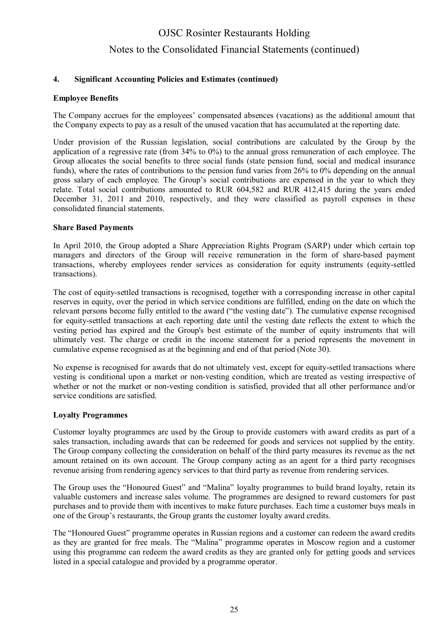### **4. Significant Accounting Policies and Estimates (continued)**

### **Employee Benefits**

The Company accrues for the employees' compensated absences (vacations) as the additional amount that the Company expects to pay as a result of the unused vacation that has accumulated at the reporting date.

Under provision of the Russian legislation, social contributions are calculated by the Group by the application of a regressive rate (from 34% to 0%) to the annual gross remuneration of each employee. The Group allocates the social benefits to three social funds (state pension fund, social and medical insurance funds), where the rates of contributions to the pension fund varies from 26% to 0% depending on the annual gross salary of each employee. The Group's social contributions are expensed in the year to which they relate. Total social contributions amounted to RUR 604,582 and RUR 412,415 during the years ended December 31, 2011 and 2010, respectively, and they were classified as payroll expenses in these consolidated financial statements.

### **Share Based Payments**

In April 2010, the Group adopted a Share Appreciation Rights Program (SARP) under which certain top managers and directors of the Group will receive remuneration in the form of share-based payment transactions, whereby employees render services as consideration for equity instruments (equity-settled transactions).

The cost of equity-settled transactions is recognised, together with a corresponding increase in other capital reserves in equity, over the period in which service conditions are fulfilled, ending on the date on which the relevant persons become fully entitled to the award ("the vesting date"). The cumulative expense recognised for equity-settled transactions at each reporting date until the vesting date reflects the extent to which the vesting period has expired and the Group's best estimate of the number of equity instruments that will ultimately vest. The charge or credit in the income statement for a period represents the movement in cumulative expense recognised as at the beginning and end of that period (Note 30).

No expense is recognised for awards that do not ultimately vest, except for equity-settled transactions where vesting is conditional upon a market or non-vesting condition, which are treated as vesting irrespective of whether or not the market or non-vesting condition is satisfied, provided that all other performance and/or service conditions are satisfied.

### **Loyalty Programmes**

Customer loyalty programmes are used by the Group to provide customers with award credits as part of a sales transaction, including awards that can be redeemed for goods and services not supplied by the entity. The Group company collecting the consideration on behalf of the third party measures its revenue as the net amount retained on its own account. The Group company acting as an agent for a third party recognises revenue arising from rendering agency services to that third party as revenue from rendering services.

The Group uses the "Honoured Guest" and "Malina" loyalty programmes to build brand loyalty, retain its valuable customers and increase sales volume. The programmes are designed to reward customers for past purchases and to provide them with incentives to make future purchases. Each time a customer buys meals in one of the Group's restaurants, the Group grants the customer loyalty award credits.

The "Honoured Guest" programme operates in Russian regions and a customer can redeem the award credits as they are granted for free meals. The "Malina" programme operates in Moscow region and a customer using this programme can redeem the award credits as they are granted only for getting goods and services listed in a special catalogue and provided by a programme operator.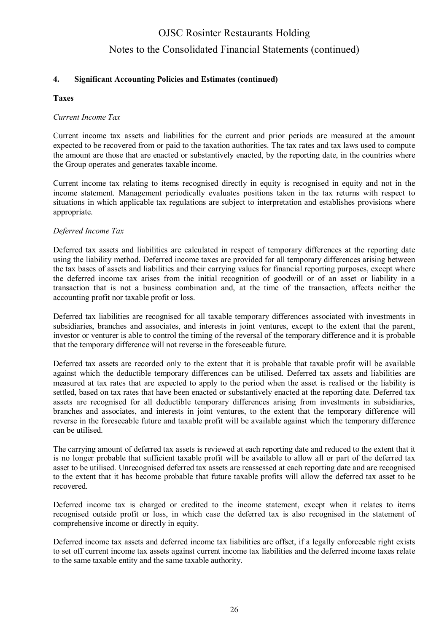### **4. Significant Accounting Policies and Estimates (continued)**

### **Taxes**

### *Current Income Tax*

Current income tax assets and liabilities for the current and prior periods are measured at the amount expected to be recovered from or paid to the taxation authorities. The tax rates and tax laws used to compute the amount are those that are enacted or substantively enacted, by the reporting date, in the countries where the Group operates and generates taxable income.

Current income tax relating to items recognised directly in equity is recognised in equity and not in the income statement. Management periodically evaluates positions taken in the tax returns with respect to situations in which applicable tax regulations are subject to interpretation and establishes provisions where appropriate.

### *Deferred Income Tax*

Deferred tax assets and liabilities are calculated in respect of temporary differences at the reporting date using the liability method. Deferred income taxes are provided for all temporary differences arising between the tax bases of assets and liabilities and their carrying values for financial reporting purposes, except where the deferred income tax arises from the initial recognition of goodwill or of an asset or liability in a transaction that is not a business combination and, at the time of the transaction, affects neither the accounting profit nor taxable profit or loss.

Deferred tax liabilities are recognised for all taxable temporary differences associated with investments in subsidiaries, branches and associates, and interests in joint ventures, except to the extent that the parent, investor or venturer is able to control the timing of the reversal of the temporary difference and it is probable that the temporary difference will not reverse in the foreseeable future.

Deferred tax assets are recorded only to the extent that it is probable that taxable profit will be available against which the deductible temporary differences can be utilised. Deferred tax assets and liabilities are measured at tax rates that are expected to apply to the period when the asset is realised or the liability is settled, based on tax rates that have been enacted or substantively enacted at the reporting date. Deferred tax assets are recognised for all deductible temporary differences arising from investments in subsidiaries, branches and associates, and interests in joint ventures, to the extent that the temporary difference will reverse in the foreseeable future and taxable profit will be available against which the temporary difference can be utilised.

The carrying amount of deferred tax assets is reviewed at each reporting date and reduced to the extent that it is no longer probable that sufficient taxable profit will be available to allow all or part of the deferred tax asset to be utilised. Unrecognised deferred tax assets are reassessed at each reporting date and are recognised to the extent that it has become probable that future taxable profits will allow the deferred tax asset to be recovered.

Deferred income tax is charged or credited to the income statement, except when it relates to items recognised outside profit or loss, in which case the deferred tax is also recognised in the statement of comprehensive income or directly in equity.

Deferred income tax assets and deferred income tax liabilities are offset, if a legally enforceable right exists to set off current income tax assets against current income tax liabilities and the deferred income taxes relate to the same taxable entity and the same taxable authority.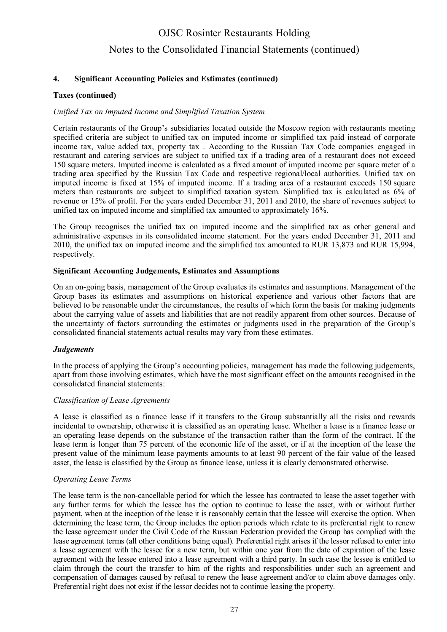### Notes to the Consolidated Financial Statements (continued)

### **4. Significant Accounting Policies and Estimates (continued)**

### **Taxes (continued)**

### *Unified Tax on Imputed Income and Simplified Taxation System*

Certain restaurants of the Group's subsidiaries located outside the Moscow region with restaurants meeting specified criteria are subject to unified tax on imputed income or simplified tax paid instead of corporate income tax, value added tax, property tax . According to the Russian Tax Code companies engaged in restaurant and catering services are subject to unified tax if a trading area of a restaurant does not exceed 150 square meters. Imputed income is calculated as a fixed amount of imputed income per square meter of a trading area specified by the Russian Tax Code and respective regional/local authorities. Unified tax on imputed income is fixed at 15% of imputed income. If a trading area of a restaurant exceeds 150 square meters than restaurants are subject to simplified taxation system. Simplified tax is calculated as 6% of revenue or 15% of profit. For the years ended December 31, 2011 and 2010, the share of revenues subject to unified tax on imputed income and simplified tax amounted to approximately 16%.

The Group recognises the unified tax on imputed income and the simplified tax as other general and administrative expenses in its consolidated income statement. For the years ended December 31, 2011 and 2010, the unified tax on imputed income and the simplified tax amounted to RUR 13,873 and RUR 15,994, respectively.

### **Significant Accounting Judgements, Estimates and Assumptions**

On an on-going basis, management of the Group evaluates its estimates and assumptions. Management of the Group bases its estimates and assumptions on historical experience and various other factors that are believed to be reasonable under the circumstances, the results of which form the basis for making judgments about the carrying value of assets and liabilities that are not readily apparent from other sources. Because of the uncertainty of factors surrounding the estimates or judgments used in the preparation of the Group's consolidated financial statements actual results may vary from these estimates.

### *Judgements*

In the process of applying the Group's accounting policies, management has made the following judgements, apart from those involving estimates, which have the most significant effect on the amounts recognised in the consolidated financial statements:

### *Classification of Lease Agreements*

A lease is classified as a finance lease if it transfers to the Group substantially all the risks and rewards incidental to ownership, otherwise it is classified as an operating lease. Whether a lease is a finance lease or an operating lease depends on the substance of the transaction rather than the form of the contract. If the lease term is longer than 75 percent of the economic life of the asset, or if at the inception of the lease the present value of the minimum lease payments amounts to at least 90 percent of the fair value of the leased asset, the lease is classified by the Group as finance lease, unless it is clearly demonstrated otherwise.

### *Operating Lease Terms*

The lease term is the non-cancellable period for which the lessee has contracted to lease the asset together with any further terms for which the lessee has the option to continue to lease the asset, with or without further payment, when at the inception of the lease it is reasonably certain that the lessee will exercise the option. When determining the lease term, the Group includes the option periods which relate to its preferential right to renew the lease agreement under the Civil Code of the Russian Federation provided the Group has complied with the lease agreement terms (all other conditions being equal). Preferential right arises if the lessor refused to enter into a lease agreement with the lessee for a new term, but within one year from the date of expiration of the lease agreement with the lessee entered into a lease agreement with a third party. In such case the lessee is entitled to claim through the court the transfer to him of the rights and responsibilities under such an agreement and compensation of damages caused by refusal to renew the lease agreement and/or to claim above damages only. Preferential right does not exist if the lessor decides not to continue leasing the property.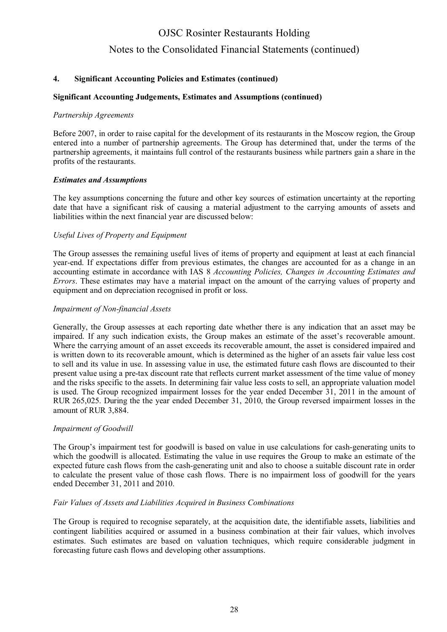### **4. Significant Accounting Policies and Estimates (continued)**

#### **Significant Accounting Judgements, Estimates and Assumptions (continued)**

#### *Partnership Agreements*

Before 2007, in order to raise capital for the development of its restaurants in the Moscow region, the Group entered into a number of partnership agreements. The Group has determined that, under the terms of the partnership agreements, it maintains full control of the restaurants business while partners gain a share in the profits of the restaurants.

#### *Estimates and Assumptions*

The key assumptions concerning the future and other key sources of estimation uncertainty at the reporting date that have a significant risk of causing a material adjustment to the carrying amounts of assets and liabilities within the next financial year are discussed below:

#### *Useful Lives of Property and Equipment*

The Group assesses the remaining useful lives of items of property and equipment at least at each financial year-end. If expectations differ from previous estimates, the changes are accounted for as a change in an accounting estimate in accordance with IAS 8 *Accounting Policies, Changes in Accounting Estimates and Errors*. These estimates may have a material impact on the amount of the carrying values of property and equipment and on depreciation recognised in profit or loss.

#### *Impairment of Non-financial Assets*

Generally, the Group assesses at each reporting date whether there is any indication that an asset may be impaired. If any such indication exists, the Group makes an estimate of the asset's recoverable amount. Where the carrying amount of an asset exceeds its recoverable amount, the asset is considered impaired and is written down to its recoverable amount, which is determined as the higher of an assets fair value less cost to sell and its value in use. In assessing value in use, the estimated future cash flows are discounted to their present value using a pre-tax discount rate that reflects current market assessment of the time value of money and the risks specific to the assets. In determining fair value less costs to sell, an appropriate valuation model is used. The Group recognized impairment losses for the year ended December 31, 2011 in the amount of RUR 265,025. During the the year ended December 31, 2010, the Group reversed impairment losses in the amount of RUR 3,884.

### *Impairment of Goodwill*

The Group's impairment test for goodwill is based on value in use calculations for cash-generating units to which the goodwill is allocated. Estimating the value in use requires the Group to make an estimate of the expected future cash flows from the cash-generating unit and also to choose a suitable discount rate in order to calculate the present value of those cash flows. There is no impairment loss of goodwill for the years ended December 31, 2011 and 2010.

### *Fair Values of Assets and Liabilities Acquired in Business Combinations*

The Group is required to recognise separately, at the acquisition date, the identifiable assets, liabilities and contingent liabilities acquired or assumed in a business combination at their fair values, which involves estimates. Such estimates are based on valuation techniques, which require considerable judgment in forecasting future cash flows and developing other assumptions.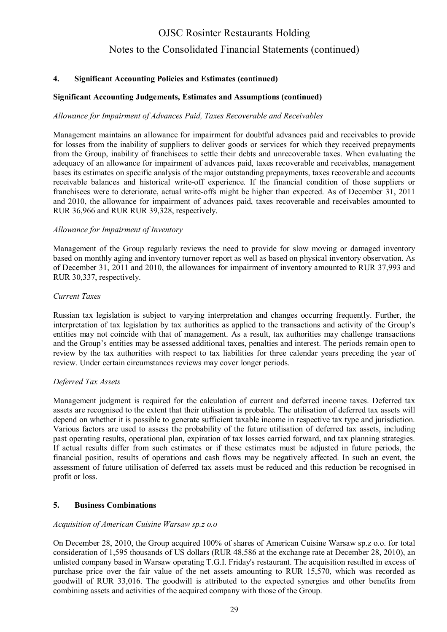### **4. Significant Accounting Policies and Estimates (continued)**

#### **Significant Accounting Judgements, Estimates and Assumptions (continued)**

#### *Allowance for Impairment of Advances Paid, Taxes Recoverable and Receivables*

Management maintains an allowance for impairment for doubtful advances paid and receivables to provide for losses from the inability of suppliers to deliver goods or services for which they received prepayments from the Group, inability of franchisees to settle their debts and unrecoverable taxes. When evaluating the adequacy of an allowance for impairment of advances paid, taxes recoverable and receivables, management bases its estimates on specific analysis of the major outstanding prepayments, taxes recoverable and accounts receivable balances and historical write-off experience. If the financial condition of those suppliers or franchisees were to deteriorate, actual write-offs might be higher than expected. As of December 31, 2011 and 2010, the allowance for impairment of advances paid, taxes recoverable and receivables amounted to RUR 36,966 and RUR RUR 39,328, respectively.

#### *Allowance for Impairment of Inventory*

Management of the Group regularly reviews the need to provide for slow moving or damaged inventory based on monthly aging and inventory turnover report as well as based on physical inventory observation. As of December 31, 2011 and 2010, the allowances for impairment of inventory amounted to RUR 37,993 and RUR 30,337, respectively.

#### *Current Taxes*

Russian tax legislation is subject to varying interpretation and changes occurring frequently. Further, the interpretation of tax legislation by tax authorities as applied to the transactions and activity of the Group's entities may not coincide with that of management. As a result, tax authorities may challenge transactions and the Group's entities may be assessed additional taxes, penalties and interest. The periods remain open to review by the tax authorities with respect to tax liabilities for three calendar years preceding the year of review. Under certain circumstances reviews may cover longer periods.

### *Deferred Tax Assets*

Management judgment is required for the calculation of current and deferred income taxes. Deferred tax assets are recognised to the extent that their utilisation is probable. The utilisation of deferred tax assets will depend on whether it is possible to generate sufficient taxable income in respective tax type and jurisdiction. Various factors are used to assess the probability of the future utilisation of deferred tax assets, including past operating results, operational plan, expiration of tax losses carried forward, and tax planning strategies. If actual results differ from such estimates or if these estimates must be adjusted in future periods, the financial position, results of operations and cash flows may be negatively affected. In such an event, the assessment of future utilisation of deferred tax assets must be reduced and this reduction be recognised in profit or loss.

### **5. Business Combinations**

#### *Acquisition of American Cuisine Warsaw sp.z o.o*

On December 28, 2010, the Group acquired 100% of shares of American Cuisine Warsaw sp.z o.o. for total consideration of 1,595 thousands of US dollars (RUR 48,586 at the exchange rate at December 28, 2010), an unlisted company based in Warsaw operating T.G.I. Friday's restaurant. The acquisition resulted in excess of purchase price over the fair value of the net assets amounting to RUR 15,570, which was recorded as goodwill of RUR 33,016. The goodwill is attributed to the expected synergies and other benefits from combining assets and activities of the acquired company with those of the Group.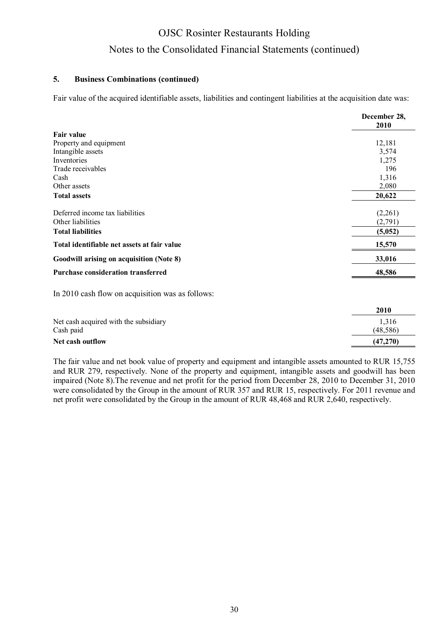### **5. Business Combinations (continued)**

Fair value of the acquired identifiable assets, liabilities and contingent liabilities at the acquisition date was:

|                                                  | December 28,<br>2010 |
|--------------------------------------------------|----------------------|
| <b>Fair value</b>                                |                      |
| Property and equipment                           | 12,181               |
| Intangible assets                                | 3,574                |
| Inventories                                      | 1,275                |
| Trade receivables                                | 196                  |
| Cash                                             | 1,316                |
| Other assets                                     | 2,080                |
| <b>Total assets</b>                              | 20,622               |
| Deferred income tax liabilities                  | (2,261)              |
| Other liabilities                                | (2,791)              |
| <b>Total liabilities</b>                         | (5,052)              |
| Total identifiable net assets at fair value      | 15,570               |
| Goodwill arising on acquisition (Note 8)         | 33,016               |
| <b>Purchase consideration transferred</b>        | 48,586               |
| In 2010 cash flow on acquisition was as follows: |                      |
|                                                  | 2010                 |
| Net cash acquired with the subsidiary            | 1,316                |

The fair value and net book value of property and equipment and intangible assets amounted to RUR 15,755 and RUR 279, respectively. None of the property and equipment, intangible assets and goodwill has been impaired (Note 8).The revenue and net profit for the period from December 28, 2010 to December 31, 2010 were consolidated by the Group in the amount of RUR 357 and RUR 15, respectively. For 2011 revenue and net profit were consolidated by the Group in the amount of RUR 48,468 and RUR 2,640, respectively.

Cash paid (48,586) (38,586) **Net cash outflow (47,270)**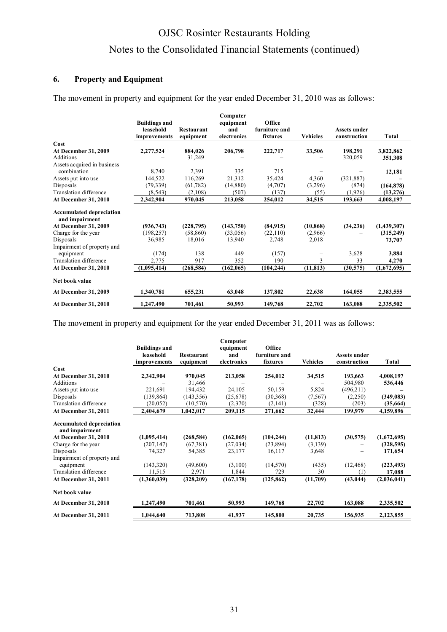### **6. Property and Equipment**

The movement in property and equipment for the year ended December 31, 2010 was as follows:

|                                 |                      |                   | Computer    |               |                 |              |              |
|---------------------------------|----------------------|-------------------|-------------|---------------|-----------------|--------------|--------------|
|                                 | <b>Buildings and</b> |                   | equipment   | Office        |                 |              |              |
|                                 | leasehold            | <b>Restaurant</b> | and         | furniture and |                 | Assets under |              |
|                                 | improvements         | equipment         | electronics | fixtures      | <b>Vehicles</b> | construction | <b>Total</b> |
| Cost                            |                      |                   |             |               |                 |              |              |
| <b>At December 31, 2009</b>     | 2,277,524            | 884,026           | 206,798     | 222,717       | 33,506          | 198,291      | 3,822,862    |
| Additions                       |                      | 31,249            |             |               |                 | 320,059      | 351,308      |
| Assets acquired in business     |                      |                   |             |               |                 |              |              |
| combination                     | 8,740                | 2,391             | 335         | 715           |                 |              | 12,181       |
| Assets put into use             | 144,522              | 116,269           | 21,312      | 35,424        | 4,360           | (321, 887)   |              |
| Disposals                       | (79, 339)            | (61, 782)         | (14,880)    | (4,707)       | (3,296)         | (874)        | (164, 878)   |
| <b>Translation difference</b>   | (8, 543)             | (2,108)           | (507)       | (137)         | (55)            | (1,926)      | (13,276)     |
| <b>At December 31, 2010</b>     | 2,342,904            | 970,045           | 213,058     | 254,012       | 34,515          | 193,663      | 4,008,197    |
| <b>Accumulated depreciation</b> |                      |                   |             |               |                 |              |              |
| and impairment                  |                      |                   |             |               |                 |              |              |
| <b>At December 31, 2009</b>     | (936,743)            | (228,795)         | (143,750)   | (84,915)      | (10, 868)       | (34,236)     | (1,439,307)  |
| Charge for the year             | (198, 257)           | (58, 860)         | (33,056)    | (22,110)      | (2,966)         |              | (315,249)    |
| Disposals                       | 36,985               | 18,016            | 13,940      | 2,748         | 2,018           |              | 73,707       |
| Impairment of property and      |                      |                   |             |               |                 |              |              |
| equipment                       | (174)                | 138               | 449         | (157)         |                 | 3,628        | 3,884        |
| Translation difference          | 2,775                | 917               | 352         | 190           | 3               | 33           | 4,270        |
| <b>At December 31, 2010</b>     | (1,095,414)          | (268, 584)        | (162, 065)  | (104, 244)    | (11, 813)       | (30, 575)    | (1,672,695)  |
| Net book value                  |                      |                   |             |               |                 |              |              |
| <b>At December 31, 2009</b>     | 1.340.781            | 655,231           | 63,048      | 137,802       | 22,638          | 164,055      | 2,383,555    |
| <b>At December 31, 2010</b>     | 1.247.490            | 701,461           | 50,993      | 149,768       | 22,702          | 163,088      | 2,335,502    |

The movement in property and equipment for the year ended December 31, 2011 was as follows:

|                                                   | <b>Buildings and</b><br>leasehold | <b>Restaurant</b> | Computer<br>equipment<br>and | Office<br>furniture and |                 | Assets under |             |
|---------------------------------------------------|-----------------------------------|-------------------|------------------------------|-------------------------|-----------------|--------------|-------------|
|                                                   | improvements                      | equipment         | electronics                  | fixtures                | <b>Vehicles</b> | construction | Total       |
| Cost                                              |                                   |                   |                              |                         |                 |              |             |
| <b>At December 31, 2010</b>                       | 2,342,904                         | 970,045           | 213,058                      | 254,012                 | 34,515          | 193,663      | 4,008,197   |
| Additions                                         |                                   | 31,466            |                              |                         |                 | 504,980      | 536,446     |
| Assets put into use                               | 221,691                           | 194,432           | 24,105                       | 50,159                  | 5,824           | (496,211)    |             |
| Disposals                                         | (139, 864)                        | (143, 356)        | (25, 678)                    | (30, 368)               | (7, 567)        | (2,250)      | (349, 083)  |
| <b>Translation difference</b>                     | (20, 052)                         | (10, 570)         | (2,370)                      | (2,141)                 | (328)           | (203)        | (35,664)    |
| <b>At December 31, 2011</b>                       | 2,404,679                         | 1,042,017         | 209,115                      | 271,662                 | 32,444          | 199,979      | 4,159,896   |
| <b>Accumulated depreciation</b><br>and impairment |                                   |                   |                              |                         |                 |              |             |
| <b>At December 31, 2010</b>                       | (1,095,414)                       | (268, 584)        | (162, 065)                   | (104, 244)              | (11, 813)       | (30,575)     | (1,672,695) |
| Charge for the year                               | (207, 147)                        | (67,381)          | (27, 034)                    | (23, 894)               | (3,139)         |              | (328, 595)  |
| Disposals                                         | 74,327                            | 54,385            | 23,177                       | 16,117                  | 3,648           |              | 171,654     |
| Impairment of property and                        |                                   |                   |                              |                         |                 |              |             |
| equipment                                         | (143,320)                         | (49,600)          | (3,100)                      | (14,570)                | (435)           | (12, 468)    | (223, 493)  |
| Translation difference                            | 11,515                            | 2,971             | 1,844                        | 729                     | 30              | (1)          | 17,088      |
| <b>At December 31, 2011</b>                       | (1,360,039)                       | (328, 209)        | (167, 178)                   | (125, 862)              | (11,709)        | (43, 044)    | (2,036,041) |
| Net book value                                    |                                   |                   |                              |                         |                 |              |             |
| <b>At December 31, 2010</b>                       | 1,247,490                         | 701,461           | 50,993                       | 149,768                 | 22,702          | 163,088      | 2,335,502   |
| <b>At December 31, 2011</b>                       | 1,044,640                         | 713,808           | 41,937                       | 145,800                 | 20,735          | 156,935      | 2,123,855   |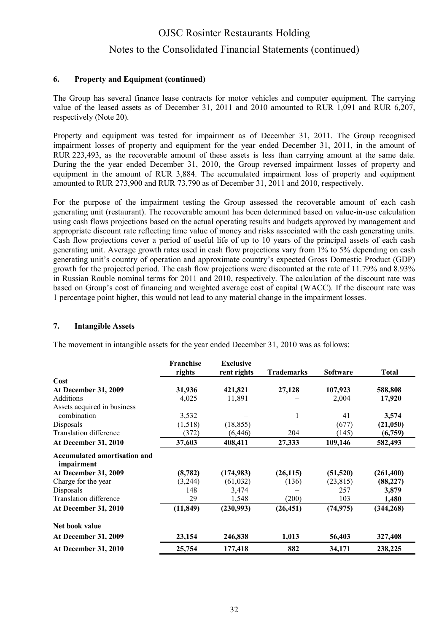### Notes to the Consolidated Financial Statements (continued)

### **6. Property and Equipment (continued)**

The Group has several finance lease contracts for motor vehicles and computer equipment. The carrying value of the leased assets as of December 31, 2011 and 2010 amounted to RUR 1,091 and RUR 6,207, respectively (Note 20).

Property and equipment was tested for impairment as of December 31, 2011. The Group recognised impairment losses of property and equipment for the year ended December 31, 2011, in the amount of RUR 223,493, as the recoverable amount of these assets is less than carrying amount at the same date. During the the year ended December 31, 2010, the Group reversed impairment losses of property and equipment in the amount of RUR 3,884. The accumulated impairment loss of property and equipment amounted to RUR 273,900 and RUR 73,790 as of December 31, 2011 and 2010, respectively.

For the purpose of the impairment testing the Group assessed the recoverable amount of each cash generating unit (restaurant). The recoverable amount has been determined based on value-in-use calculation using cash flows projections based on the actual operating results and budgets approved by management and appropriate discount rate reflecting time value of money and risks associated with the cash generating units. Cash flow projections cover a period of useful life of up to 10 years of the principal assets of each cash generating unit. Average growth rates used in cash flow projections vary from 1% to 5% depending on cash generating unit's country of operation and approximate country's expected Gross Domestic Product (GDP) growth for the projected period. The cash flow projections were discounted at the rate of 11.79% and 8.93% in Russian Rouble nominal terms for 2011 and 2010, respectively. The calculation of the discount rate was based on Group's cost of financing and weighted average cost of capital (WACC). If the discount rate was 1 percentage point higher, this would not lead to any material change in the impairment losses.

### **7. Intangible Assets**

The movement in intangible assets for the year ended December 31, 2010 was as follows:

|                                                   | Franchise<br>rights | <b>Exclusive</b><br>rent rights | <b>Trademarks</b> | <b>Software</b> | <b>Total</b> |
|---------------------------------------------------|---------------------|---------------------------------|-------------------|-----------------|--------------|
| Cost                                              |                     |                                 |                   |                 |              |
| <b>At December 31, 2009</b>                       | 31,936              | 421,821                         | 27,128            | 107,923         | 588,808      |
| <b>Additions</b>                                  | 4,025               | 11,891                          |                   | 2,004           | 17,920       |
| Assets acquired in business                       |                     |                                 |                   |                 |              |
| combination                                       | 3,532               |                                 | 1                 | 41              | 3,574        |
| Disposals                                         | (1,518)             | (18, 855)                       |                   | (677)           | (21,050)     |
| <b>Translation difference</b>                     | (372)               | (6, 446)                        | 204               | (145)           | (6,759)      |
| <b>At December 31, 2010</b>                       | 37,603              | 408,411                         | 27,333            | 109,146         | 582,493      |
| <b>Accumulated amortisation and</b><br>impairment |                     |                                 |                   |                 |              |
| <b>At December 31, 2009</b>                       | (8, 782)            | (174, 983)                      | (26, 115)         | (51, 520)       | (261, 400)   |
| Charge for the year                               | (3,244)             | (61, 032)                       | (136)             | (23, 815)       | (88, 227)    |
| Disposals                                         | 148                 | 3,474                           |                   | 257             | 3,879        |
| <b>Translation difference</b>                     | 29                  | 1,548                           | (200)             | 103             | 1,480        |
| <b>At December 31, 2010</b>                       | (11, 849)           | (230, 993)                      | (26, 451)         | (74, 975)       | (344, 268)   |
| Net book value                                    |                     |                                 |                   |                 |              |
| <b>At December 31, 2009</b>                       | 23,154              | 246,838                         | 1,013             | 56,403          | 327,408      |
| <b>At December 31, 2010</b>                       | 25,754              | 177,418                         | 882               | 34,171          | 238,225      |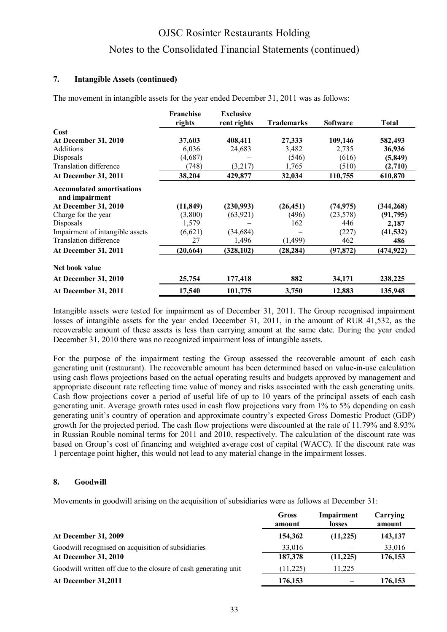### **7. Intangible Assets (continued)**

The movement in intangible assets for the year ended December 31, 2011 was as follows:

|                                                    | <b>Franchise</b><br>rights | <b>Exclusive</b><br>rent rights | <b>Trademarks</b> | <b>Software</b> | Total      |
|----------------------------------------------------|----------------------------|---------------------------------|-------------------|-----------------|------------|
| Cost                                               |                            |                                 |                   |                 |            |
| <b>At December 31, 2010</b>                        | 37,603                     | 408,411                         | 27,333            | 109,146         | 582,493    |
| Additions                                          | 6,036                      | 24,683                          | 3,482             | 2,735           | 36,936     |
| Disposals                                          | (4,687)                    |                                 | (546)             | (616)           | (5, 849)   |
| Translation difference                             | (748)                      | (3,217)                         | 1,765             | (510)           | (2,710)    |
| At December 31, 2011                               | 38,204                     | 429,877                         | 32,034            | 110,755         | 610,870    |
| <b>Accumulated amortisations</b><br>and impairment |                            |                                 |                   |                 |            |
| <b>At December 31, 2010</b>                        | (11, 849)                  | (230,993)                       | (26, 451)         | (74, 975)       | (344, 268) |
| Charge for the year                                | (3,800)                    | (63, 921)                       | (496)             | (23,578)        | (91, 795)  |
| Disposals                                          | 1,579                      |                                 | 162               | 446             | 2,187      |
| Impairment of intangible assets                    | (6,621)                    | (34, 684)                       |                   | (227)           | (41, 532)  |
| Translation difference                             | 27                         | 1,496                           | (1, 499)          | 462             | 486        |
| <b>At December 31, 2011</b>                        | (20, 664)                  | (328, 102)                      | (28, 284)         | (97, 872)       | (474, 922) |
| Net book value                                     |                            |                                 |                   |                 |            |
| <b>At December 31, 2010</b>                        | 25,754                     | 177,418                         | 882               | 34,171          | 238,225    |
| At December 31, 2011                               | 17,540                     | 101,775                         | 3,750             | 12,883          | 135,948    |

Intangible assets were tested for impairment as of December 31, 2011. The Group recognised impairment losses of intangible assets for the year ended December 31, 2011, in the amount of RUR 41,532, as the recoverable amount of these assets is less than carrying amount at the same date. During the year ended December 31, 2010 there was no recognized impairment loss of intangible assets.

For the purpose of the impairment testing the Group assessed the recoverable amount of each cash generating unit (restaurant). The recoverable amount has been determined based on value-in-use calculation using cash flows projections based on the actual operating results and budgets approved by management and appropriate discount rate reflecting time value of money and risks associated with the cash generating units. Cash flow projections cover a period of useful life of up to 10 years of the principal assets of each cash generating unit. Average growth rates used in cash flow projections vary from 1% to 5% depending on cash generating unit's country of operation and approximate country's expected Gross Domestic Product (GDP) growth for the projected period. The cash flow projections were discounted at the rate of 11.79% and 8.93% in Russian Rouble nominal terms for 2011 and 2010, respectively. The calculation of the discount rate was based on Group's cost of financing and weighted average cost of capital (WACC). If the discount rate was 1 percentage point higher, this would not lead to any material change in the impairment losses.

### **8. Goodwill**

Movements in goodwill arising on the acquisition of subsidiaries were as follows at December 31:

|                                                                 | Gross<br>amount | Impairment<br>losses | Carrying<br>amount |
|-----------------------------------------------------------------|-----------------|----------------------|--------------------|
| <b>At December 31, 2009</b>                                     | 154,362         | (11,225)             | 143,137            |
| Goodwill recognised on acquisition of subsidiaries              | 33,016          |                      | 33,016             |
| <b>At December 31, 2010</b>                                     | 187,378         | (11,225)             | 176,153            |
| Goodwill written off due to the closure of cash generating unit | (11,225)        | 11.225               |                    |
| At December 31,2011                                             | 176,153         |                      | 176,153            |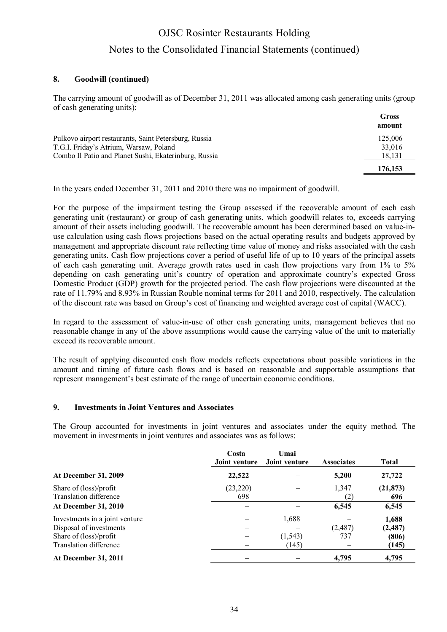### **8. Goodwill (continued)**

The carrying amount of goodwill as of December 31, 2011 was allocated among cash generating units (group of cash generating units):

|                                                       | Gross<br>amount |
|-------------------------------------------------------|-----------------|
| Pulkovo airport restaurants, Saint Petersburg, Russia | 125,006         |
| T.G.I. Friday's Atrium, Warsaw, Poland                | 33,016          |
| Combo Il Patio and Planet Sushi, Ekaterinburg, Russia | 18,131          |
|                                                       | 176,153         |

In the years ended December 31, 2011 and 2010 there was no impairment of goodwill.

For the purpose of the impairment testing the Group assessed if the recoverable amount of each cash generating unit (restaurant) or group of cash generating units, which goodwill relates to, exceeds carrying amount of their assets including goodwill. The recoverable amount has been determined based on value-inuse calculation using cash flows projections based on the actual operating results and budgets approved by management and appropriate discount rate reflecting time value of money and risks associated with the cash generating units. Cash flow projections cover a period of useful life of up to 10 years of the principal assets of each cash generating unit. Average growth rates used in cash flow projections vary from 1% to 5% depending on cash generating unit's country of operation and approximate country's expected Gross Domestic Product (GDP) growth for the projected period. The cash flow projections were discounted at the rate of 11.79% and 8.93% in Russian Rouble nominal terms for 2011 and 2010, respectively. The calculation of the discount rate was based on Group's cost of financing and weighted average cost of capital (WACC).

In regard to the assessment of value-in-use of other cash generating units, management believes that no reasonable change in any of the above assumptions would cause the carrying value of the unit to materially exceed its recoverable amount.

The result of applying discounted cash flow models reflects expectations about possible variations in the amount and timing of future cash flows and is based on reasonable and supportable assumptions that represent management's best estimate of the range of uncertain economic conditions.

### **9. Investments in Joint Ventures and Associates**

The Group accounted for investments in joint ventures and associates under the equity method. The movement in investments in joint ventures and associates was as follows:

|                                | Costa<br><b>Joint venture</b> | Umai<br><b>Joint venture</b> | <b>Associates</b> | <b>Total</b> |
|--------------------------------|-------------------------------|------------------------------|-------------------|--------------|
| <b>At December 31, 2009</b>    | 22,522                        |                              | 5,200             | 27,722       |
| Share of (loss)/profit         | (23, 220)                     |                              | 1,347             | (21, 873)    |
| Translation difference         | 698                           |                              | (2)               | 696          |
| <b>At December 31, 2010</b>    |                               |                              | 6,545             | 6,545        |
| Investments in a joint venture |                               | 1,688                        |                   | 1,688        |
| Disposal of investments        |                               |                              | (2,487)           | (2, 487)     |
| Share of (loss)/profit         |                               | (1, 543)                     | 737               | (806)        |
| Translation difference         |                               | (145)                        |                   | (145)        |
| <b>At December 31, 2011</b>    |                               |                              | 4,795             | 4,795        |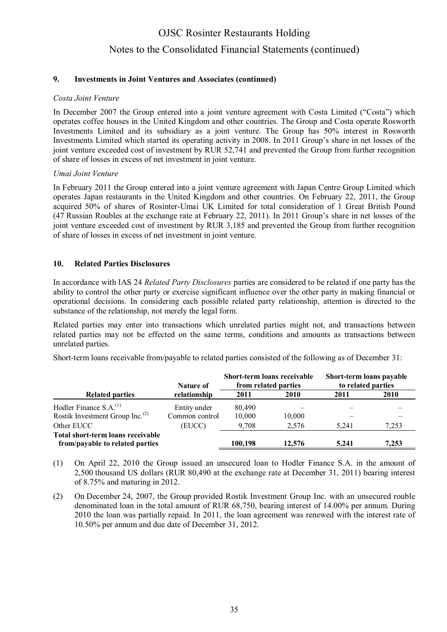### **9. Investments in Joint Ventures and Associates (continued)**

### *Costa Joint Venture*

In December 2007 the Group entered into a joint venture agreement with Costa Limited ("Costa") which operates coffee houses in the United Kingdom and other countries. The Group and Costa operate Rosworth Investments Limited and its subsidiary as a joint venture. The Group has 50% interest in Rosworth Investments Limited which started its operating activity in 2008. In 2011 Group's share in net losses of the joint venture exceeded cost of investment by RUR 52,741 and prevented the Group from further recognition of share of losses in excess of net investment in joint venture.

### *Umai Joint Venture*

In February 2011 the Group entered into a joint venture agreement with Japan Centre Group Limited which operates Japan restaurants in the United Kingdom and other countries. On February 22, 2011, the Group acquired 50% of shares of Rosinter-Umai UK Limited for total consideration of 1 Great British Pound (47 Russian Roubles at the exchange rate at February 22, 2011). In 2011 Group's share in net losses of the joint venture exceeded cost of investment by RUR 3,185 and prevented the Group from further recognition of share of losses in excess of net investment in joint venture.

### **10. Related Parties Disclosures**

In accordance with IAS 24 *Related Party Disclosures* parties are considered to be related if one party has the ability to control the other party or exercise significant influence over the other party in making financial or operational decisions. In considering each possible related party relationship, attention is directed to the substance of the relationship, not merely the legal form.

Related parties may enter into transactions which unrelated parties might not, and transactions between related parties may not be effected on the same terms, conditions and amounts as transactions between unrelated parties.

Short-term loans receivable from/payable to related parties consisted of the following as of December 31:

|                                                                      | Nature of      | <b>Short-term loans receivable</b><br>from related parties |             | Short-term loans payable<br>to related parties |       |
|----------------------------------------------------------------------|----------------|------------------------------------------------------------|-------------|------------------------------------------------|-------|
| <b>Related parties</b>                                               | relationship   | 2011                                                       | <b>2010</b> | 2011                                           | 2010  |
| Hodler Finance $S.A.(1)$                                             | Entity under   | 80.490                                                     |             |                                                |       |
| Rostik Investment Group Inc. $(2)$                                   | Common control | 10,000                                                     | 10,000      |                                                |       |
| Other EUCC                                                           | (EUCC)         | 9,708                                                      | 2,576       | 5.241                                          | 7.253 |
| Total short-term loans receivable<br>from/payable to related parties |                | 100,198                                                    | 12,576      | 5.241                                          | 7,253 |

- (1) On April 22, 2010 the Group issued an unsecured loan to Hodler Finance S.A. in the amount of 2,500 thousand US dollars (RUR 80,490 at the exchange rate at December 31, 2011) bearing interest of 8.75% and maturing in 2012.
- (2) On December 24, 2007, the Group provided Rostik Investment Group Inc. with an unsecured rouble denominated loan in the total amount of RUR 68,750, bearing interest of 14.00% per annum. During 2010 the loan was partially repaid. In 2011, the loan agreement was renewed with the interest rate of 10.50% per annum and due date of December 31, 2012.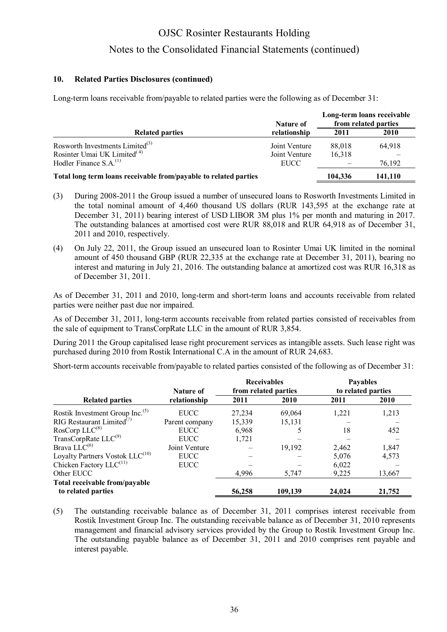### **10. Related Parties Disclosures (continued)**

Long-term loans receivable from/payable to related parties were the following as of December 31:

|                                                                  | Nature of     | Long-term loans receivable<br>from related parties |         |
|------------------------------------------------------------------|---------------|----------------------------------------------------|---------|
| <b>Related parties</b>                                           | relationship  | 2011                                               | 2010    |
| Rosworth Investments Limited $(3)$                               | Joint Venture | 88.018                                             | 64,918  |
| Rosinter Umai UK Limited <sup>(4)</sup>                          | Joint Venture | 16,318                                             |         |
| Hodler Finance $S.A.(1)$                                         | <b>EUCC</b>   |                                                    | 76.192  |
| Total long term loans receivable from/payable to related parties |               | 104,336                                            | 141.110 |

- (3) During 2008-2011 the Group issued a number of unsecured loans to Rosworth Investments Limited in the total nominal amount of 4,460 thousand US dollars (RUR 143,595 at the exchange rate at December 31, 2011) bearing interest of USD LIBOR 3M plus 1% per month and maturing in 2017. The outstanding balances at amortised cost were RUR 88,018 and RUR 64,918 as of December 31, 2011 and 2010, respectively.
- (4) On July 22, 2011, the Group issued an unsecured loan to Rosinter Umai UK limited in the nominal amount of 450 thousand GBP (RUR 22,335 at the exchange rate at December 31, 2011), bearing no interest and maturing in July 21, 2016. The outstanding balance at amortized cost was RUR 16,318 as of December 31, 2011.

As of December 31, 2011 and 2010, long-term and short-term loans and accounts receivable from related parties were neither past due nor impaired.

As of December 31, 2011, long-term accounts receivable from related parties consisted of receivables from the sale of equipment to TransCorpRate LLC in the amount of RUR 3,854.

During 2011 the Group capitalised lease right procurement services as intangible assets. Such lease right was purchased during 2010 from Rostik International C.A in the amount of RUR 24,683.

Short-term accounts receivable from/payable to related parties consisted of the following as of December 31:

|                                             |                  | <b>Receivables</b><br>from related parties |         | <b>Payables</b><br>to related parties |        |
|---------------------------------------------|------------------|--------------------------------------------|---------|---------------------------------------|--------|
|                                             | <b>Nature of</b> |                                            |         |                                       |        |
| <b>Related parties</b>                      | relationship     | 2011                                       | 2010    | 2011                                  | 2010   |
| Rostik Investment Group Inc. <sup>(5)</sup> | <b>EUCC</b>      | 27,234                                     | 69,064  | 1,221                                 | 1,213  |
| RIG Restaurant Limited $(7)$                | Parent company   | 15,339                                     | 15,131  |                                       |        |
| RosCorp $LLC^{(8)}$                         | <b>EUCC</b>      | 6,968                                      |         | 18                                    | 452    |
| TransCorpRate LLC <sup>(9)</sup>            | <b>EUCC</b>      | 1,721                                      |         |                                       |        |
| Brava $LLC^{(6)}$                           | Joint Venture    |                                            | 19,192  | 2,462                                 | 1,847  |
| Loyalty Partners Vostok LLC <sup>(10)</sup> | <b>EUCC</b>      |                                            |         | 5,076                                 | 4,573  |
| Chicken Factory $LLC^{(11)}$                | <b>EUCC</b>      |                                            |         | 6,022                                 |        |
| Other EUCC                                  |                  | 4,996                                      | 5,747   | 9,225                                 | 13,667 |
| Total receivable from/payable               |                  |                                            |         |                                       |        |
| to related parties                          |                  | 56,258                                     | 109,139 | 24,024                                | 21,752 |

(5) The outstanding receivable balance as of December 31, 2011 comprises interest receivable from Rostik Investment Group Inc. The outstanding receivable balance as of December 31, 2010 represents management and financial advisory services provided by the Group to Rostik Investment Group Inc. The outstanding payable balance as of December 31, 2011 and 2010 comprises rent payable and interest payable.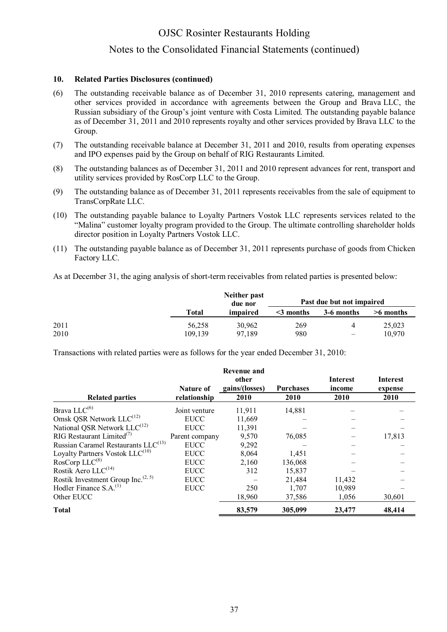### Notes to the Consolidated Financial Statements (continued)

### **10. Related Parties Disclosures (continued)**

- (6) The outstanding receivable balance as of December 31, 2010 represents catering, management and other services provided in accordance with agreements between the Group and Brava LLC, the Russian subsidiary of the Group's joint venture with Costa Limited. The outstanding payable balance as of December 31, 2011 and 2010 represents royalty and other services provided by Brava LLC to the Group.
- (7) The outstanding receivable balance at December 31, 2011 and 2010, results from operating expenses and IPO expenses paid by the Group on behalf of RIG Restaurants Limited.
- (8) The outstanding balances as of December 31, 2011 and 2010 represent advances for rent, transport and utility services provided by RosCorp LLC to the Group.
- (9) The outstanding balance as of December 31, 2011 represents receivables from the sale of equipment to TransCorpRate LLC.
- (10) The outstanding payable balance to Loyalty Partners Vostok LLC represents services related to the "Malina" customer loyalty program provided to the Group. The ultimate controlling shareholder holds director position in Loyalty Partners Vostok LLC.
- (11) The outstanding payable balance as of December 31, 2011 represents purchase of goods from Chicken Factory LLC.

As at December 31, the aging analysis of short-term receivables from related parties is presented below:

|      |         | Neither past<br>due nor |                 | Past due but not impaired |             |
|------|---------|-------------------------|-----------------|---------------------------|-------------|
|      | Total   | impaired                | $\leq$ 3 months | 3-6 months                | $>6$ months |
| 2011 | 56,258  | 30,962                  | 269             |                           | 25,023      |
| 2010 | 109,139 | 97.189                  | 980             |                           | 10.970      |

Transactions with related parties were as follows for the year ended December 31, 2010:

|                                                 |                | <b>Revenue and</b> |                  |                 |                 |
|-------------------------------------------------|----------------|--------------------|------------------|-----------------|-----------------|
|                                                 |                | other              |                  | <b>Interest</b> | <b>Interest</b> |
|                                                 | Nature of      | gains/(losses)     | <b>Purchases</b> | income          | expense         |
| <b>Related parties</b>                          | relationship   | 2010               | 2010             | 2010            | 2010            |
| Brava LLC <sup>(6)</sup>                        | Joint venture  | 11,911             | 14,881           |                 |                 |
| Omsk QSR Network $LLC^{(12)}$                   | <b>EUCC</b>    | 11,669             |                  |                 |                 |
| National QSR Network LLC <sup>(12)</sup>        | <b>EUCC</b>    | 11,391             |                  |                 |                 |
| RIG Restaurant Limited $(7)$                    | Parent company | 9,570              | 76,085           |                 | 17,813          |
| Russian Caramel Restaurants LLC <sup>(13)</sup> | <b>EUCC</b>    | 9,292              |                  |                 |                 |
| Loyalty Partners Vostok $LLC^{(10)}$            | <b>EUCC</b>    | 8,064              | 1,451            |                 |                 |
| RosCorp LLC <sup>(8)</sup>                      | <b>EUCC</b>    | 2,160              | 136,068          |                 |                 |
| Rostik Aero LLC <sup>(14)</sup>                 | <b>EUCC</b>    | 312                | 15,837           |                 |                 |
| Rostik Investment Group Inc. $(2, 5)$           | <b>EUCC</b>    |                    | 21,484           | 11,432          |                 |
| Hodler Finance $S.A.(1)$                        | <b>EUCC</b>    | 250                | 1,707            | 10,989          |                 |
| Other EUCC                                      |                | 18,960             | 37,586           | 1,056           | 30,601          |
| <b>Total</b>                                    |                | 83,579             | 305,099          | 23,477          | 48,414          |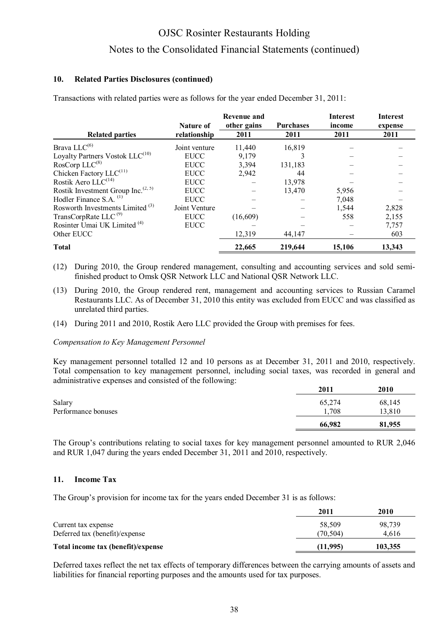### **10. Related Parties Disclosures (continued)**

|                                             | Nature of     | <b>Revenue and</b><br>other gains | <b>Purchases</b> | <b>Interest</b><br>income | <b>Interest</b><br>expense |
|---------------------------------------------|---------------|-----------------------------------|------------------|---------------------------|----------------------------|
| <b>Related parties</b>                      | relationship  | 2011                              | 2011             | 2011                      | 2011                       |
| Brava LLC <sup>(6)</sup>                    | Joint venture | 11,440                            | 16,819           |                           |                            |
| Loyalty Partners Vostok LLC <sup>(10)</sup> | <b>EUCC</b>   | 9,179                             |                  |                           |                            |
| RosCorp $LLC^{(8)}$                         | <b>EUCC</b>   | 3,394                             | 131,183          |                           |                            |
| Chicken Factory $LLC^{(11)}$                | <b>EUCC</b>   | 2,942                             | 44               |                           |                            |
| Rostik Aero LLC <sup>(14)</sup>             | <b>EUCC</b>   |                                   | 13,978           |                           |                            |
| Rostik Investment Group Inc. $(2, 5)$       | <b>EUCC</b>   |                                   | 13,470           | 5,956                     |                            |
| Hodler Finance S.A. $(1)$                   | <b>EUCC</b>   |                                   |                  | 7,048                     |                            |
| Rosworth Investments Limited <sup>(3)</sup> | Joint Venture |                                   |                  | 1,544                     | 2,828                      |
| TransCorpRate LLC <sup>(9)</sup>            | <b>EUCC</b>   | (16,609)                          |                  | 558                       | 2,155                      |
| Rosinter Umai UK Limited <sup>(4)</sup>     | <b>EUCC</b>   |                                   |                  |                           | 7,757                      |
| Other EUCC                                  |               | 12,319                            | 44,147           |                           | 603                        |
| <b>Total</b>                                |               | 22,665                            | 219,644          | 15,106                    | 13,343                     |

Transactions with related parties were as follows for the year ended December 31, 2011:

- (12) During 2010, the Group rendered management, consulting and accounting services and sold semifinished product to Omsk QSR Network LLC and National QSR Network LLC.
- (13) During 2010, the Group rendered rent, management and accounting services to Russian Caramel Restaurants LLC. As of December 31, 2010 this entity was excluded from EUCC and was classified as unrelated third parties.
- (14) During 2011 and 2010, Rostik Aero LLC provided the Group with premises for fees.

### *Compensation to Key Management Personnel*

Key management personnel totalled 12 and 10 persons as at December 31, 2011 and 2010, respectively. Total compensation to key management personnel, including social taxes, was recorded in general and administrative expenses and consisted of the following:

|                     | 2011   | 2010   |
|---------------------|--------|--------|
| Salary              | 65,274 | 68,145 |
| Performance bonuses | ,708   | 13,810 |
|                     | 66,982 | 81,955 |

The Group's contributions relating to social taxes for key management personnel amounted to RUR 2,046 and RUR 1,047 during the years ended December 31, 2011 and 2010, respectively.

### **11. Income Tax**

The Group's provision for income tax for the years ended December 31 is as follows:

|                                    | 2011     | 2010    |
|------------------------------------|----------|---------|
| Current tax expense                | 58.509   | 98,739  |
| Deferred tax (benefit)/expense     | (70.504) | 4.616   |
| Total income tax (benefit)/expense | (11,995) | 103,355 |
|                                    |          |         |

Deferred taxes reflect the net tax effects of temporary differences between the carrying amounts of assets and liabilities for financial reporting purposes and the amounts used for tax purposes.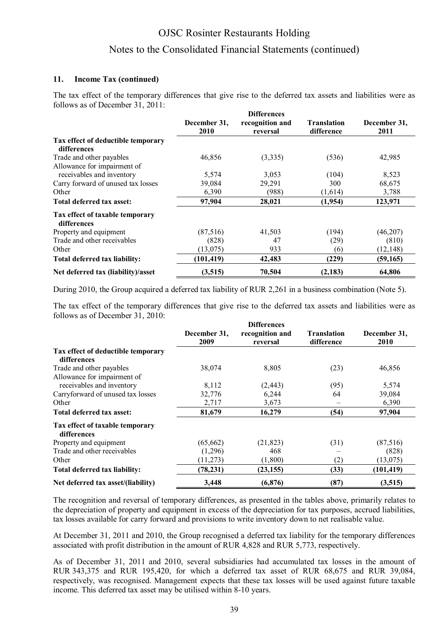### **11. Income Tax (continued)**

The tax effect of the temporary differences that give rise to the deferred tax assets and liabilities were as follows as of December 31, 2011:

|                                                   |                      | <b>Differences</b>          |                                  |                      |
|---------------------------------------------------|----------------------|-----------------------------|----------------------------------|----------------------|
|                                                   | December 31,<br>2010 | recognition and<br>reversal | <b>Translation</b><br>difference | December 31,<br>2011 |
| Tax effect of deductible temporary<br>differences |                      |                             |                                  |                      |
| Trade and other payables                          | 46,856               | (3,335)                     | (536)                            | 42,985               |
| Allowance for impairment of                       |                      |                             |                                  |                      |
| receivables and inventory                         | 5,574                | 3,053                       | (104)                            | 8,523                |
| Carry forward of unused tax losses                | 39,084               | 29,291                      | 300                              | 68,675               |
| Other                                             | 6,390                | (988)                       | (1,614)                          | 3,788                |
| Total deferred tax asset:                         | 97,904               | 28,021                      | (1,954)                          | 123,971              |
| Tax effect of taxable temporary<br>differences    |                      |                             |                                  |                      |
| Property and equipment                            | (87, 516)            | 41,503                      | (194)                            | (46,207)             |
| Trade and other receivables                       | (828)                | 47                          | (29)                             | (810)                |
| Other                                             | (13, 075)            | 933                         | (6)                              | (12, 148)            |
| Total deferred tax liability:                     | (101, 419)           | 42,483                      | (229)                            | (59, 165)            |
| Net deferred tax (liability)/asset                | (3,515)              | 70,504                      | (2, 183)                         | 64,806               |

During 2010, the Group acquired a deferred tax liability of RUR 2,261 in a business combination (Note 5).

The tax effect of the temporary differences that give rise to the deferred tax assets and liabilities were as follows as of December 31, 2010:

|                                                   |                      | <b>Differences</b>          |                                  |                      |
|---------------------------------------------------|----------------------|-----------------------------|----------------------------------|----------------------|
|                                                   | December 31,<br>2009 | recognition and<br>reversal | <b>Translation</b><br>difference | December 31,<br>2010 |
| Tax effect of deductible temporary<br>differences |                      |                             |                                  |                      |
| Trade and other payables                          | 38,074               | 8,805                       | (23)                             | 46,856               |
| Allowance for impairment of                       |                      |                             |                                  |                      |
| receivables and inventory                         | 8,112                | (2, 443)                    | (95)                             | 5,574                |
| Carryforward of unused tax losses                 | 32,776               | 6,244                       | 64                               | 39,084               |
| Other                                             | 2,717                | 3,673                       |                                  | 6,390                |
| Total deferred tax asset:                         | 81,679               | 16,279                      | (54)                             | 97,904               |
| Tax effect of taxable temporary<br>differences    |                      |                             |                                  |                      |
| Property and equipment                            | (65, 662)            | (21, 823)                   | (31)                             | (87,516)             |
| Trade and other receivables                       | (1,296)              | 468                         |                                  | (828)                |
| Other                                             | (11, 273)            | (1,800)                     | (2)                              | (13,075)             |
| Total deferred tax liability:                     | (78, 231)            | (23, 155)                   | (33)                             | (101, 419)           |
| Net deferred tax asset/(liability)                | 3,448                | (6, 876)                    | (87)                             | (3,515)              |

The recognition and reversal of temporary differences, as presented in the tables above, primarily relates to the depreciation of property and equipment in excess of the depreciation for tax purposes, accrued liabilities, tax losses available for carry forward and provisions to write inventory down to net realisable value.

At December 31, 2011 and 2010, the Group recognised a deferred tax liability for the temporary differences associated with profit distribution in the amount of RUR 4,828 and RUR 5,773, respectively.

As of December 31, 2011 and 2010, several subsidiaries had accumulated tax losses in the amount of RUR 343,375 and RUR 195,420, for which a deferred tax asset of RUR 68,675 and RUR 39,084, respectively, was recognised. Management expects that these tax losses will be used against future taxable income. This deferred tax asset may be utilised within 8-10 years.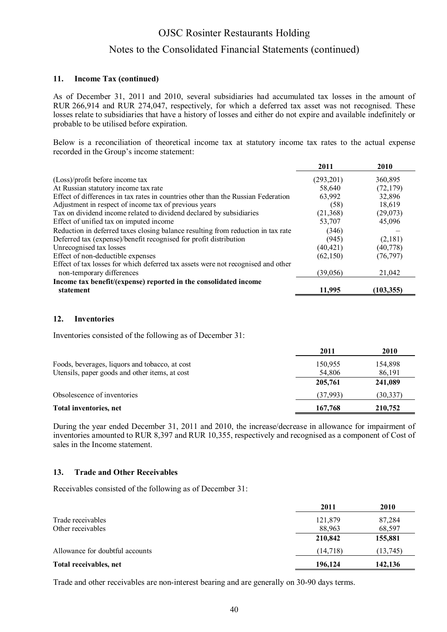### **11. Income Tax (continued)**

As of December 31, 2011 and 2010, several subsidiaries had accumulated tax losses in the amount of RUR 266,914 and RUR 274,047, respectively, for which a deferred tax asset was not recognised. These losses relate to subsidiaries that have a history of losses and either do not expire and available indefinitely or probable to be utilised before expiration.

Below is a reconciliation of theoretical income tax at statutory income tax rates to the actual expense recorded in the Group's income statement:

|                                                                                   | 2011       | 2010       |
|-----------------------------------------------------------------------------------|------------|------------|
| (Loss)/profit before income tax                                                   | (293, 201) | 360,895    |
| At Russian statutory income tax rate                                              | 58,640     | (72, 179)  |
| Effect of differences in tax rates in countries other than the Russian Federation | 63.992     | 32,896     |
| Adjustment in respect of income tax of previous years                             | (58)       | 18,619     |
| Tax on dividend income related to dividend declared by subsidiaries               | (21, 368)  | (29,073)   |
| Effect of unified tax on imputed income                                           | 53,707     | 45,096     |
| Reduction in deferred taxes closing balance resulting from reduction in tax rate  | (346)      |            |
| Deferred tax (expense)/benefit recognised for profit distribution                 | (945)      | (2,181)    |
| Unrecognised tax losses                                                           | (40, 421)  | (40, 778)  |
| Effect of non-deductible expenses                                                 | (62, 150)  | (76, 797)  |
| Effect of tax losses for which deferred tax assets were not recognised and other  |            |            |
| non-temporary differences                                                         | (39,056)   | 21,042     |
| Income tax benefit/(expense) reported in the consolidated income                  |            |            |
| statement                                                                         | 11,995     | (103, 355) |

### **12. Inventories**

Inventories consisted of the following as of December 31:

|                                                                                                  | 2011              | 2010              |
|--------------------------------------------------------------------------------------------------|-------------------|-------------------|
| Foods, beverages, liquors and tobacco, at cost<br>Utensils, paper goods and other items, at cost | 150,955<br>54.806 | 154,898<br>86.191 |
|                                                                                                  | 205,761           | 241,089           |
| Obsolescence of inventories                                                                      | (37.993)          | (30, 337)         |
| Total inventories, net                                                                           | 167,768           | 210,752           |

During the year ended December 31, 2011 and 2010, the increase/decrease in allowance for impairment of inventories amounted to RUR 8,397 and RUR 10,355, respectively and recognised as a component of Cost of sales in the Income statement.

### **13. Trade and Other Receivables**

Receivables consisted of the following as of December 31:

| 2011      | 2010      |
|-----------|-----------|
| 121,879   | 87,284    |
| 88,963    | 68,597    |
| 210,842   | 155,881   |
| (14, 718) | (13, 745) |
| 196,124   | 142,136   |
|           |           |

Trade and other receivables are non-interest bearing and are generally on 30-90 days terms.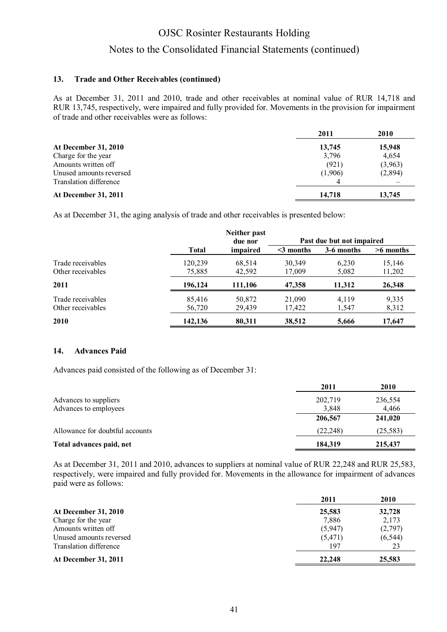### **13. Trade and Other Receivables (continued)**

As at December 31, 2011 and 2010, trade and other receivables at nominal value of RUR 14,718 and RUR 13,745, respectively, were impaired and fully provided for. Movements in the provision for impairment of trade and other receivables were as follows:

|                             | 2011    | 2010    |
|-----------------------------|---------|---------|
| <b>At December 31, 2010</b> | 13,745  | 15,948  |
| Charge for the year         | 3,796   | 4,654   |
| Amounts written off         | (921)   | (3,963) |
| Unused amounts reversed     | (1,906) | (2,894) |
| Translation difference      |         |         |
| <b>At December 31, 2011</b> | 14.718  | 13,745  |

As at December 31, the aging analysis of trade and other receivables is presented below:

|                   |              | Neither past<br>due nor |                 | Past due but not impaired |             |
|-------------------|--------------|-------------------------|-----------------|---------------------------|-------------|
|                   | <b>Total</b> | impaired                | $\leq$ 3 months | 3-6 months                | $>6$ months |
| Trade receivables | 120,239      | 68,514                  | 30,349          | 6,230                     | 15,146      |
| Other receivables | 75,885       | 42,592                  | 17,009          | 5,082                     | 11,202      |
| 2011              | 196.124      | 111.106                 | 47,358          | 11,312                    | 26,348      |
| Trade receivables | 85,416       | 50,872                  | 21,090          | 4,119                     | 9,335       |
| Other receivables | 56,720       | 29,439                  | 17,422          | 1,547                     | 8,312       |
| 2010              | 142.136      | 80,311                  | 38,512          | 5,666                     | 17,647      |

### **14. Advances Paid**

Advances paid consisted of the following as of December 31:

|                                 | 2011      | 2010      |
|---------------------------------|-----------|-----------|
| Advances to suppliers           | 202,719   | 236,554   |
| Advances to employees           | 3,848     | 4,466     |
|                                 | 206,567   | 241,020   |
| Allowance for doubtful accounts | (22, 248) | (25, 583) |
| Total advances paid, net        | 184,319   | 215,437   |

As at December 31, 2011 and 2010, advances to suppliers at nominal value of RUR 22,248 and RUR 25,583, respectively, were impaired and fully provided for. Movements in the allowance for impairment of advances paid were as follows:

|                             | 2011     | 2010     |
|-----------------------------|----------|----------|
| <b>At December 31, 2010</b> | 25,583   | 32,728   |
| Charge for the year         | 7,886    | 2,173    |
| Amounts written off         | (5,947)  | (2,797)  |
| Unused amounts reversed     | (5, 471) | (6, 544) |
| Translation difference      | 197      | 23       |
| <b>At December 31, 2011</b> | 22,248   | 25,583   |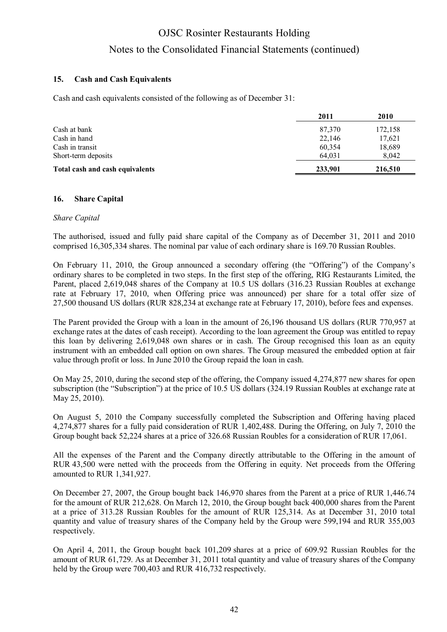### **15. Cash and Cash Equivalents**

Cash and cash equivalents consisted of the following as of December 31:

|                                 | 2011    | 2010    |
|---------------------------------|---------|---------|
| Cash at bank                    | 87,370  | 172,158 |
| Cash in hand                    | 22,146  | 17,621  |
| Cash in transit                 | 60,354  | 18,689  |
| Short-term deposits             | 64.031  | 8,042   |
| Total cash and cash equivalents | 233,901 | 216,510 |

### **16. Share Capital**

### *Share Capital*

The authorised, issued and fully paid share capital of the Company as of December 31, 2011 and 2010 comprised 16,305,334 shares. The nominal par value of each ordinary share is 169.70 Russian Roubles.

On February 11, 2010, the Group announced a secondary offering (the "Offering") of the Company's ordinary shares to be completed in two steps. In the first step of the offering, RIG Restaurants Limited, the Parent, placed 2,619,048 shares of the Company at 10.5 US dollars (316.23 Russian Roubles at exchange rate at February 17, 2010, when Offering price was announced) per share for a total offer size of 27,500 thousand US dollars (RUR 828,234 at exchange rate at February 17, 2010), before fees and expenses.

The Parent provided the Group with a loan in the amount of 26,196 thousand US dollars (RUR 770,957 at exchange rates at the dates of cash receipt). According to the loan agreement the Group was entitled to repay this loan by delivering 2,619,048 own shares or in cash. The Group recognised this loan as an equity instrument with an embedded call option on own shares. The Group measured the embedded option at fair value through profit or loss. In June 2010 the Group repaid the loan in cash.

On May 25, 2010, during the second step of the offering, the Company issued 4,274,877 new shares for open subscription (the "Subscription") at the price of 10.5 US dollars (324.19 Russian Roubles at exchange rate at May 25, 2010).

On August 5, 2010 the Company successfully completed the Subscription and Offering having placed 4,274,877 shares for a fully paid consideration of RUR 1,402,488. During the Offering, on July 7, 2010 the Group bought back 52,224 shares at a price of 326.68 Russian Roubles for a consideration of RUR 17,061.

All the expenses of the Parent and the Company directly attributable to the Offering in the amount of RUR 43,500 were netted with the proceeds from the Offering in equity. Net proceeds from the Offering amounted to RUR 1,341,927.

On December 27, 2007, the Group bought back 146,970 shares from the Parent at a price of RUR 1,446.74 for the amount of RUR 212,628. On March 12, 2010, the Group bought back 400,000 shares from the Parent at a price of 313.28 Russian Roubles for the amount of RUR 125,314. As at December 31, 2010 total quantity and value of treasury shares of the Company held by the Group were 599,194 and RUR 355,003 respectively.

On April 4, 2011, the Group bought back 101,209 shares at a price of 609.92 Russian Roubles for the amount of RUR 61,729. As at December 31, 2011 total quantity and value of treasury shares of the Company held by the Group were 700,403 and RUR 416,732 respectively.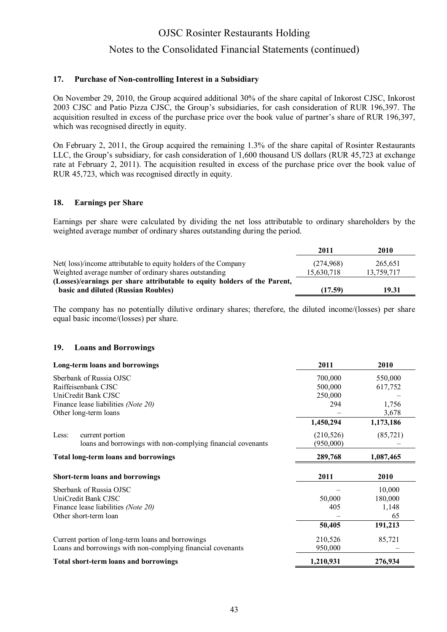### Notes to the Consolidated Financial Statements (continued)

### **17. Purchase of Non-controlling Interest in a Subsidiary**

On November 29, 2010, the Group acquired additional 30% of the share capital of Inkorost CJSC, Inkorost 2003 CJSC and Patio Pizza CJSC, the Group's subsidiaries, for cash consideration of RUR 196,397. The acquisition resulted in excess of the purchase price over the book value of partner's share of RUR 196,397, which was recognised directly in equity.

On February 2, 2011, the Group acquired the remaining 1.3% of the share capital of Rosinter Restaurants LLC, the Group's subsidiary, for cash consideration of 1,600 thousand US dollars (RUR 45,723 at exchange rate at February 2, 2011). The acquisition resulted in excess of the purchase price over the book value of RUR 45,723, which was recognised directly in equity.

### **18. Earnings per Share**

Earnings per share were calculated by dividing the net loss attributable to ordinary shareholders by the weighted average number of ordinary shares outstanding during the period.

|                                                                           | 2011       | 2010       |
|---------------------------------------------------------------------------|------------|------------|
| Net (loss)/income attributable to equity holders of the Company           | (274,968)  | 265.651    |
| Weighted average number of ordinary shares outstanding                    | 15.630.718 | 13,759,717 |
| (Losses)/earnings per share attributable to equity holders of the Parent, |            |            |
| basic and diluted (Russian Roubles)                                       | (17.59)    | 19.31      |

The company has no potentially dilutive ordinary shares; therefore, the diluted income/(losses) per share equal basic income/(losses) per share.

### **19. Loans and Borrowings**

| Long-term loans and borrowings                              | 2011       | 2010      |
|-------------------------------------------------------------|------------|-----------|
| Sberbank of Russia OJSC                                     | 700,000    | 550,000   |
| Raiffeisenbank CJSC                                         | 500,000    | 617,752   |
| UniCredit Bank CJSC                                         | 250,000    |           |
| Finance lease liabilities (Note 20)                         | 294        | 1,756     |
| Other long-term loans                                       |            | 3,678     |
|                                                             | 1,450,294  | 1,173,186 |
| Less:<br>current portion                                    | (210, 526) | (85, 721) |
| loans and borrowings with non-complying financial covenants | (950,000)  |           |
| <b>Total long-term loans and borrowings</b>                 | 289,768    | 1,087,465 |
| <b>Short-term loans and borrowings</b>                      | 2011       | 2010      |
| Sberbank of Russia OJSC                                     |            | 10,000    |
| UniCredit Bank CJSC                                         | 50,000     | 180,000   |
| Finance lease liabilities (Note 20)                         | 405        | 1,148     |
| Other short-term loan                                       |            | 65        |
|                                                             | 50,405     | 191,213   |
| Current portion of long-term loans and borrowings           | 210,526    | 85,721    |
| Loans and borrowings with non-complying financial covenants | 950,000    |           |
| <b>Total short-term loans and borrowings</b>                | 1,210,931  | 276,934   |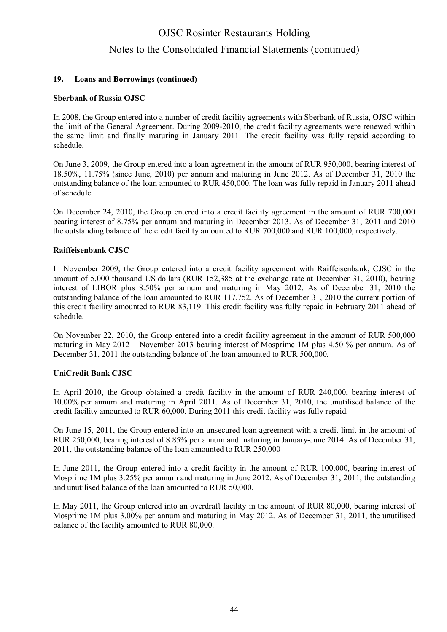### **19. Loans and Borrowings (continued)**

### **Sberbank of Russia OJSC**

In 2008, the Group entered into a number of credit facility agreements with Sberbank of Russia, OJSC within the limit of the General Agreement. During 2009-2010, the credit facility agreements were renewed within the same limit and finally maturing in January 2011. The credit facility was fully repaid according to schedule.

On June 3, 2009, the Group entered into a loan agreement in the amount of RUR 950,000, bearing interest of 18.50%, 11.75% (since June, 2010) per annum and maturing in June 2012. As of December 31, 2010 the outstanding balance of the loan amounted to RUR 450,000. The loan was fully repaid in January 2011 ahead of schedule.

On December 24, 2010, the Group entered into a credit facility agreement in the amount of RUR 700,000 bearing interest of 8.75% per annum and maturing in December 2013. As of December 31, 2011 and 2010 the outstanding balance of the credit facility amounted to RUR 700,000 and RUR 100,000, respectively.

### **Raiffeisenbank CJSC**

In November 2009, the Group entered into a credit facility agreement with Raiffeisenbank, CJSC in the amount of 5,000 thousand US dollars (RUR 152,385 at the exchange rate at December 31, 2010), bearing interest of LIBOR plus 8.50% per annum and maturing in May 2012. As of December 31, 2010 the outstanding balance of the loan amounted to RUR 117,752. As of December 31, 2010 the current portion of this credit facility amounted to RUR 83,119. This credit facility was fully repaid in February 2011 ahead of schedule.

On November 22, 2010, the Group entered into a credit facility agreement in the amount of RUR 500,000 maturing in May 2012 – November 2013 bearing interest of Mosprime 1M plus 4.50 % per annum. As of December 31, 2011 the outstanding balance of the loan amounted to RUR 500,000.

### **UniCredit Bank CJSC**

In April 2010, the Group obtained a credit facility in the amount of RUR 240,000, bearing interest of 10.00% per annum and maturing in April 2011. As of December 31, 2010, the unutilised balance of the credit facility amounted to RUR 60,000. During 2011 this credit facility was fully repaid.

On June 15, 2011, the Group entered into an unsecured loan agreement with a credit limit in the amount of RUR 250,000, bearing interest of 8.85% per annum and maturing in January-June 2014. As of December 31, 2011, the outstanding balance of the loan amounted to RUR 250,000

In June 2011, the Group entered into a credit facility in the amount of RUR 100,000, bearing interest of Mosprime 1M plus 3.25% per annum and maturing in June 2012. As of December 31, 2011, the outstanding and unutilised balance of the loan amounted to RUR 50,000.

In May 2011, the Group entered into an overdraft facility in the amount of RUR 80,000, bearing interest of Mosprime 1M plus 3.00% per annum and maturing in May 2012. As of December 31, 2011, the unutilised balance of the facility amounted to RUR 80,000.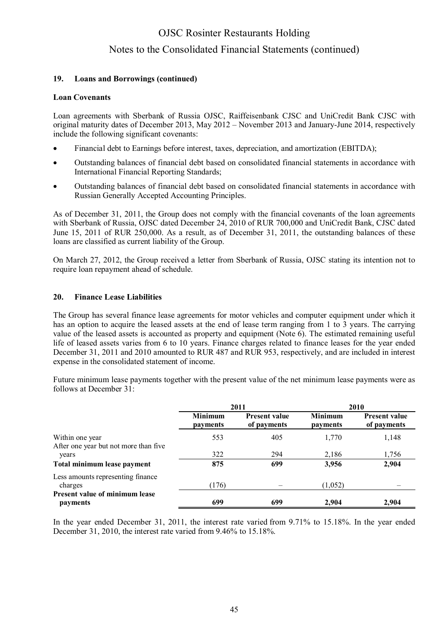### **19. Loans and Borrowings (continued)**

### **Loan Covenants**

Loan agreements with Sberbank of Russia OJSC, Raiffeisenbank CJSC and UniCredit Bank CJSC with original maturity dates of December 2013, May 2012 – November 2013 and January-June 2014, respectively include the following significant covenants:

- Financial debt to Earnings before interest, taxes, depreciation, and amortization (EBITDA);
- · Outstanding balances of financial debt based on consolidated financial statements in accordance with International Financial Reporting Standards;
- · Outstanding balances of financial debt based on consolidated financial statements in accordance with Russian Generally Accepted Accounting Principles.

As of December 31, 2011, the Group does not comply with the financial covenants of the loan agreements with Sberbank of Russia, OJSC dated December 24, 2010 of RUR 700,000 and UniCredit Bank, CJSC dated June 15, 2011 of RUR 250,000. As a result, as of December 31, 2011, the outstanding balances of these loans are classified as current liability of the Group.

On March 27, 2012, the Group received a letter from Sberbank of Russia, OJSC stating its intention not to require loan repayment ahead of schedule.

### **20. Finance Lease Liabilities**

The Group has several finance lease agreements for motor vehicles and computer equipment under which it has an option to acquire the leased assets at the end of lease term ranging from 1 to 3 years. The carrying value of the leased assets is accounted as property and equipment (Note 6). The estimated remaining useful life of leased assets varies from 6 to 10 years. Finance charges related to finance leases for the year ended December 31, 2011 and 2010 amounted to RUR 487 and RUR 953, respectively, and are included in interest expense in the consolidated statement of income.

Future minimum lease payments together with the present value of the net minimum lease payments were as follows at December 31:

|                                                          |                                   | 2011                                |                            | 2010                                |
|----------------------------------------------------------|-----------------------------------|-------------------------------------|----------------------------|-------------------------------------|
|                                                          | <b>Minimum</b><br><i>payments</i> | <b>Present value</b><br>of payments | <b>Minimum</b><br>payments | <b>Present value</b><br>of payments |
| Within one year<br>After one year but not more than five | 553                               | 405                                 | 1,770                      | 1,148                               |
| years                                                    | 322                               | 294                                 | 2,186                      | 1,756                               |
| Total minimum lease payment                              | 875                               | 699                                 | 3,956                      | 2,904                               |
| Less amounts representing finance<br>charges             | (176)                             |                                     | (1,052)                    |                                     |
| <b>Present value of minimum lease</b><br><i>payments</i> | 699                               | 699                                 | 2.904                      | 2.904                               |

In the year ended December 31, 2011, the interest rate varied from 9.71% to 15.18%. In the year ended December 31, 2010, the interest rate varied from 9.46% to 15.18%.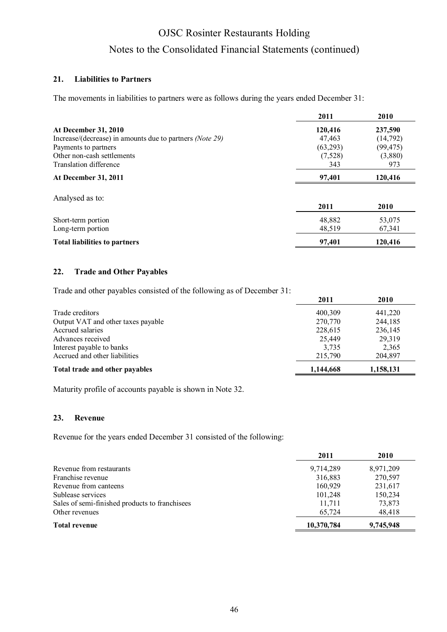### **21. Liabilities to Partners**

The movements in liabilities to partners were as follows during the years ended December 31:

|                                                                 | 2011     | 2010      |
|-----------------------------------------------------------------|----------|-----------|
| <b>At December 31, 2010</b>                                     | 120,416  | 237,590   |
| Increase/(decrease) in amounts due to partners <i>(Note 29)</i> | 47,463   | (14,792)  |
| Payments to partners                                            | (63,293) | (99, 475) |
| Other non-cash settlements                                      | (7,528)  | (3,880)   |
| Translation difference                                          | 343      | 973       |
| <b>At December 31, 2011</b>                                     | 97,401   | 120,416   |
| Analysed as to:                                                 |          |           |
|                                                                 | 2011     | 2010      |
| Short-term portion                                              | 48,882   | 53,075    |
| Long-term portion                                               | 48.519   | 67,341    |
| <b>Total liabilities to partners</b>                            | 97,401   | 120,416   |

### **22. Trade and Other Payables**

Trade and other payables consisted of the following as of December 31:

| 2011      | 2010      |
|-----------|-----------|
| 400,309   | 441,220   |
| 270,770   | 244,185   |
| 228,615   | 236,145   |
| 25,449    | 29,319    |
| 3,735     | 2,365     |
| 215,790   | 204,897   |
| 1,144,668 | 1,158,131 |
|           |           |

Maturity profile of accounts payable is shown in Note 32.

### **23. Revenue**

Revenue for the years ended December 31 consisted of the following:

|                                                | 2011       | 2010      |
|------------------------------------------------|------------|-----------|
| Revenue from restaurants                       | 9,714,289  | 8,971,209 |
| Franchise revenue                              | 316,883    | 270,597   |
| Revenue from canteens                          | 160,929    | 231,617   |
| Sublease services                              | 101,248    | 150,234   |
| Sales of semi-finished products to franchisees | 11.711     | 73,873    |
| Other revenues                                 | 65.724     | 48,418    |
| <b>Total revenue</b>                           | 10,370,784 | 9,745,948 |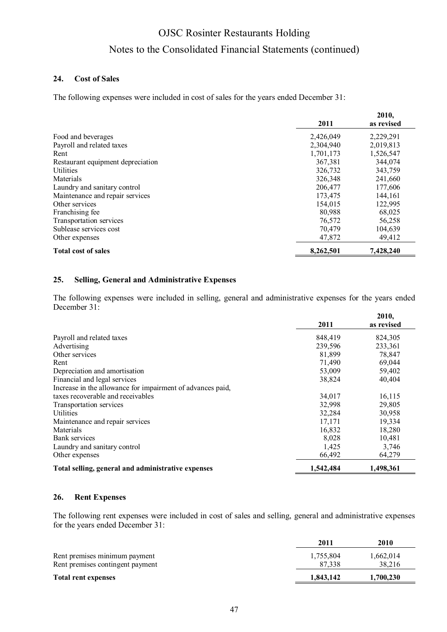### **24. Cost of Sales**

The following expenses were included in cost of sales for the years ended December 31:

|                                   | 2011      | 2010,<br>as revised |
|-----------------------------------|-----------|---------------------|
| Food and beverages                | 2,426,049 | 2,229,291           |
| Payroll and related taxes         | 2,304,940 | 2,019,813           |
| Rent                              | 1,701,173 | 1,526,547           |
| Restaurant equipment depreciation | 367,381   | 344,074             |
| Utilities                         | 326,732   | 343,759             |
| Materials                         | 326,348   | 241,660             |
| Laundry and sanitary control      | 206,477   | 177,606             |
| Maintenance and repair services   | 173,475   | 144,161             |
| Other services                    | 154,015   | 122,995             |
| Franchising fee                   | 80,988    | 68,025              |
| Transportation services           | 76,572    | 56,258              |
| Sublease services cost            | 70,479    | 104,639             |
| Other expenses                    | 47,872    | 49,412              |
| <b>Total cost of sales</b>        | 8,262,501 | 7,428,240           |

### **25. Selling, General and Administrative Expenses**

The following expenses were included in selling, general and administrative expenses for the years ended December 31:

|                                                            | 2011      | 2010,<br>as revised |
|------------------------------------------------------------|-----------|---------------------|
| Payroll and related taxes                                  | 848,419   | 824,305             |
| Advertising                                                | 239,596   | 233,361             |
| Other services                                             | 81,899    | 78,847              |
| Rent                                                       | 71,490    | 69,044              |
| Depreciation and amortisation                              | 53,009    | 59,402              |
| Financial and legal services                               | 38,824    | 40,404              |
| Increase in the allowance for impairment of advances paid, |           |                     |
| taxes recoverable and receivables                          | 34,017    | 16,115              |
| Transportation services                                    | 32,998    | 29,805              |
| Utilities                                                  | 32,284    | 30,958              |
| Maintenance and repair services                            | 17,171    | 19,334              |
| Materials                                                  | 16,832    | 18,280              |
| Bank services                                              | 8,028     | 10,481              |
| Laundry and sanitary control                               | 1,425     | 3,746               |
| Other expenses                                             | 66,492    | 64,279              |
| Total selling, general and administrative expenses         | 1,542,484 | 1,498,361           |

### **26. Rent Expenses**

The following rent expenses were included in cost of sales and selling, general and administrative expenses for the years ended December 31:

|                                                                   | 2011                | 2010                |
|-------------------------------------------------------------------|---------------------|---------------------|
| Rent premises minimum payment<br>Rent premises contingent payment | 1,755,804<br>87.338 | 1,662,014<br>38.216 |
| <b>Total rent expenses</b>                                        | 1,843,142           | 1,700,230           |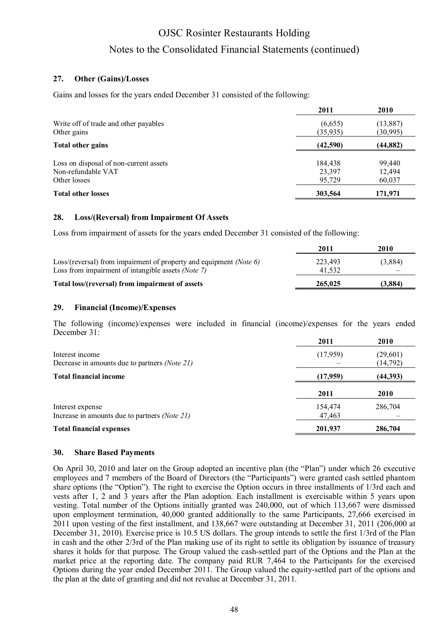### **27. Other (Gains)/Losses**

Gains and losses for the years ended December 31 consisted of the following:

|                                                                              | 2011                        | 2010                       |
|------------------------------------------------------------------------------|-----------------------------|----------------------------|
| Write off of trade and other payables<br>Other gains                         | (6,655)<br>(35, 935)        | (13, 887)<br>(30,995)      |
| <b>Total other gains</b>                                                     | (42,590)                    | (44, 882)                  |
| Loss on disposal of non-current assets<br>Non-refundable VAT<br>Other losses | 184,438<br>23,397<br>95,729 | 99,440<br>12,494<br>60,037 |
| <b>Total other losses</b>                                                    | 303,564                     | 171,971                    |

### **28. Loss/(Reversal) from Impairment Of Assets**

Loss from impairment of assets for the years ended December 31 consisted of the following:

|                                                                                                                          | 2011              | 2010    |
|--------------------------------------------------------------------------------------------------------------------------|-------------------|---------|
| Loss/(reversal) from impairment of property and equipment (Note 6)<br>Loss from impairment of intangible assets (Note 7) | 223,493<br>41.532 | (3,884) |
| Total loss/(reversal) from impairment of assets                                                                          | 265,025           | (3,884) |

### **29. Financial (Income)/Expenses**

The following (income)/expenses were included in financial (income)/expenses for the years ended December 31:

|                                                                   | 2011              | 2010                  |
|-------------------------------------------------------------------|-------------------|-----------------------|
| Interest income<br>Decrease in amounts due to partners (Note 21)  | (17,959)          | (29,601)<br>(14, 792) |
| <b>Total financial income</b>                                     | (17,959)          | (44,393)              |
|                                                                   | 2011              | <b>2010</b>           |
| Interest expense<br>Increase in amounts due to partners (Note 21) | 154,474<br>47,463 | 286,704               |
| <b>Total financial expenses</b>                                   | 201,937           | 286,704               |

### **30. Share Based Payments**

On April 30, 2010 and later on the Group adopted an incentive plan (the "Plan") under which 26 executive employees and 7 members of the Board of Directors (the "Participants") were granted cash settled phantom share options (the "Option"). The right to exercise the Option occurs in three installments of 1/3rd each and vests after 1, 2 and 3 years after the Plan adoption. Each installment is exercisable within 5 years upon vesting. Total number of the Options initially granted was 240,000, out of which 113,667 were dismissed upon employment termination, 40,000 granted additionally to the same Participants, 27,666 exercised in 2011 upon vesting of the first installment, and 138,667 were outstanding at December 31, 2011 (206,000 at December 31, 2010). Exercise price is 10.5 US dollars. The group intends to settle the first 1/3rd of the Plan in cash and the other 2/3rd of the Plan making use of its right to settle its obligation by issuance of treasury shares it holds for that purpose. The Group valued the cash-settled part of the Options and the Plan at the market price at the reporting date. The company paid RUR 7,464 to the Participants for the exercised Options during the year ended December 2011. The Group valued the equity-settled part of the options and the plan at the date of granting and did not revalue at December 31, 2011.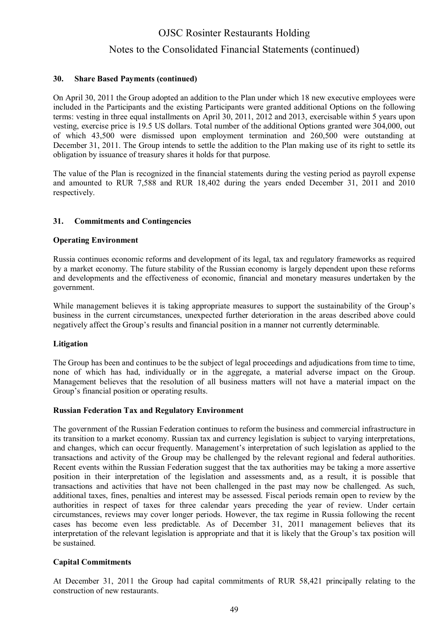### **30. Share Based Payments (continued)**

On April 30, 2011 the Group adopted an addition to the Plan under which 18 new executive employees were included in the Participants and the existing Participants were granted additional Options on the following terms: vesting in three equal installments on April 30, 2011, 2012 and 2013, exercisable within 5 years upon vesting, exercise price is 19.5 US dollars. Total number of the additional Options granted were 304,000, out of which 43,500 were dismissed upon employment termination and 260,500 were outstanding at December 31, 2011. The Group intends to settle the addition to the Plan making use of its right to settle its obligation by issuance of treasury shares it holds for that purpose.

The value of the Plan is recognized in the financial statements during the vesting period as payroll expense and amounted to RUR 7,588 and RUR 18,402 during the years ended December 31, 2011 and 2010 respectively.

### **31. Commitments and Contingencies**

### **Operating Environment**

Russia continues economic reforms and development of its legal, tax and regulatory frameworks as required by a market economy. The future stability of the Russian economy is largely dependent upon these reforms and developments and the effectiveness of economic, financial and monetary measures undertaken by the government.

While management believes it is taking appropriate measures to support the sustainability of the Group's business in the current circumstances, unexpected further deterioration in the areas described above could negatively affect the Group's results and financial position in a manner not currently determinable.

### **Litigation**

The Group has been and continues to be the subject of legal proceedings and adjudications from time to time, none of which has had, individually or in the aggregate, a material adverse impact on the Group. Management believes that the resolution of all business matters will not have a material impact on the Group's financial position or operating results.

### **Russian Federation Tax and Regulatory Environment**

The government of the Russian Federation continues to reform the business and commercial infrastructure in its transition to a market economy. Russian tax and currency legislation is subject to varying interpretations, and changes, which can occur frequently. Management's interpretation of such legislation as applied to the transactions and activity of the Group may be challenged by the relevant regional and federal authorities. Recent events within the Russian Federation suggest that the tax authorities may be taking a more assertive position in their interpretation of the legislation and assessments and, as a result, it is possible that transactions and activities that have not been challenged in the past may now be challenged. As such, additional taxes, fines, penalties and interest may be assessed. Fiscal periods remain open to review by the authorities in respect of taxes for three calendar years preceding the year of review. Under certain circumstances, reviews may cover longer periods. However, the tax regime in Russia following the recent cases has become even less predictable. As of December 31, 2011 management believes that its interpretation of the relevant legislation is appropriate and that it is likely that the Group's tax position will be sustained.

### **Capital Commitments**

At December 31, 2011 the Group had capital commitments of RUR 58,421 principally relating to the construction of new restaurants.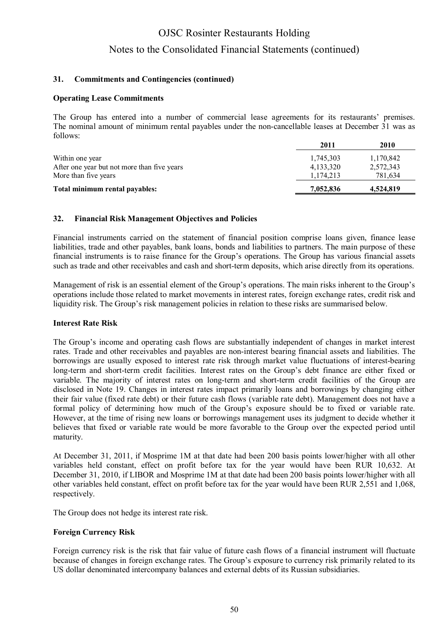### **31. Commitments and Contingencies (continued)**

### **Operating Lease Commitments**

The Group has entered into a number of commercial lease agreements for its restaurants' premises. The nominal amount of minimum rental payables under the non-cancellable leases at December 31 was as follows:

|                                             | 2011      | 2010      |
|---------------------------------------------|-----------|-----------|
| Within one year                             | 1,745,303 | 1,170,842 |
| After one year but not more than five years | 4,133,320 | 2,572,343 |
| More than five years                        | 1.174.213 | 781.634   |
| Total minimum rental payables:              | 7,052,836 | 4,524,819 |

### **32. Financial Risk Management Objectives and Policies**

Financial instruments carried on the statement of financial position comprise loans given, finance lease liabilities, trade and other payables, bank loans, bonds and liabilities to partners. The main purpose of these financial instruments is to raise finance for the Group's operations. The Group has various financial assets such as trade and other receivables and cash and short-term deposits, which arise directly from its operations.

Management of risk is an essential element of the Group's operations. The main risks inherent to the Group's operations include those related to market movements in interest rates, foreign exchange rates, credit risk and liquidity risk. The Group's risk management policies in relation to these risks are summarised below.

### **Interest Rate Risk**

The Group's income and operating cash flows are substantially independent of changes in market interest rates. Trade and other receivables and payables are non-interest bearing financial assets and liabilities. The borrowings are usually exposed to interest rate risk through market value fluctuations of interest-bearing long-term and short-term credit facilities. Interest rates on the Group's debt finance are either fixed or variable. The majority of interest rates on long-term and short-term credit facilities of the Group are disclosed in Note 19. Changes in interest rates impact primarily loans and borrowings by changing either their fair value (fixed rate debt) or their future cash flows (variable rate debt). Management does not have a formal policy of determining how much of the Group's exposure should be to fixed or variable rate. However, at the time of rising new loans or borrowings management uses its judgment to decide whether it believes that fixed or variable rate would be more favorable to the Group over the expected period until maturity.

At December 31, 2011, if Mosprime 1M at that date had been 200 basis points lower/higher with all other variables held constant, effect on profit before tax for the year would have been RUR 10,632. At December 31, 2010, if LIBOR and Mosprime 1M at that date had been 200 basis points lower/higher with all other variables held constant, effect on profit before tax for the year would have been RUR 2,551 and 1,068, respectively.

The Group does not hedge its interest rate risk.

### **Foreign Currency Risk**

Foreign currency risk is the risk that fair value of future cash flows of a financial instrument will fluctuate because of changes in foreign exchange rates. The Group's exposure to currency risk primarily related to its US dollar denominated intercompany balances and external debts of its Russian subsidiaries.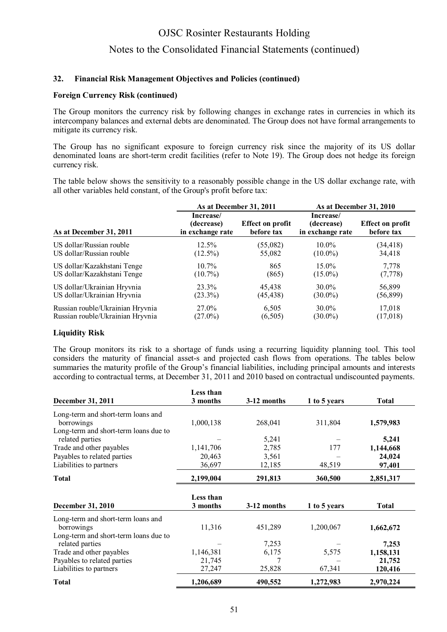### Notes to the Consolidated Financial Statements (continued)

### **32. Financial Risk Management Objectives and Policies (continued)**

#### **Foreign Currency Risk (continued)**

The Group monitors the currency risk by following changes in exchange rates in currencies in which its intercompany balances and external debts are denominated. The Group does not have formal arrangements to mitigate its currency risk.

The Group has no significant exposure to foreign currency risk since the majority of its US dollar denominated loans are short-term credit facilities (refer to Note 19). The Group does not hedge its foreign currency risk.

The table below shows the sensitivity to a reasonably possible change in the US dollar exchange rate, with all other variables held constant, of the Group's profit before tax:

|                                  | As at December 31, 2011                     |                                       | As at December 31, 2010                     |                                       |
|----------------------------------|---------------------------------------------|---------------------------------------|---------------------------------------------|---------------------------------------|
| As at December 31, 2011          | Increase/<br>(decrease)<br>in exchange rate | <b>Effect on profit</b><br>before tax | Increase/<br>(decrease)<br>in exchange rate | <b>Effect on profit</b><br>before tax |
| US dollar/Russian rouble         | 12.5%                                       | (55,082)                              | $10.0\%$                                    | (34, 418)                             |
| US dollar/Russian rouble         | $(12.5\%)$                                  | 55,082                                | $(10.0\%)$                                  | 34,418                                |
| US dollar/Kazakhstani Tenge      | $10.7\%$                                    | 865                                   | $15.0\%$                                    | 7,778                                 |
| US dollar/Kazakhstani Tenge      | $(10.7\%)$                                  | (865)                                 | $(15.0\%)$                                  | (7, 778)                              |
| US dollar/Ukrainian Hryvnia      | 23.3%                                       | 45.438                                | $30.0\%$                                    | 56,899                                |
| US dollar/Ukrainian Hryvnia      | $(23.3\%)$                                  | (45, 438)                             | $(30.0\%)$                                  | (56, 899)                             |
| Russian rouble/Ukrainian Hryvnia | 27.0%                                       | 6.505                                 | $30.0\%$                                    | 17,018                                |
| Russian rouble/Ukrainian Hryvnia | $(27.0\%)$                                  | (6,505)                               | $(30.0\%)$                                  | (17,018)                              |

### **Liquidity Risk**

The Group monitors its risk to a shortage of funds using a recurring liquidity planning tool. This tool considers the maturity of financial asset-s and projected cash flows from operations. The tables below summaries the maturity profile of the Group's financial liabilities, including principal amounts and interests according to contractual terms, at December 31, 2011 and 2010 based on contractual undiscounted payments.

| December 31, 2011                                        | Less than<br>3 months        | 3-12 months | 1 to 5 years | <b>Total</b> |
|----------------------------------------------------------|------------------------------|-------------|--------------|--------------|
| Long-term and short-term loans and                       |                              |             |              |              |
| borrowings                                               | 1,000,138                    | 268,041     | 311,804      | 1,579,983    |
| Long-term and short-term loans due to<br>related parties |                              | 5,241       |              | 5,241        |
| Trade and other payables                                 | 1,141,706                    | 2,785       | 177          | 1,144,668    |
| Payables to related parties                              | 20,463                       | 3,561       |              | 24,024       |
| Liabilities to partners                                  | 36,697                       | 12,185      | 48,519       | 97,401       |
| <b>Total</b>                                             | 2,199,004                    | 291,813     | 360,500      | 2,851,317    |
| <b>December 31, 2010</b>                                 | <b>Less than</b><br>3 months | 3-12 months | 1 to 5 years | <b>Total</b> |
| Long-term and short-term loans and                       |                              |             |              |              |
| borrowings                                               | 11,316                       | 451,289     | 1,200,067    | 1,662,672    |
| Long-term and short-term loans due to<br>related parties |                              | 7,253       |              | 7,253        |
| Trade and other payables                                 | 1,146,381                    | 6,175       | 5,575        | 1,158,131    |
| Payables to related parties                              | 21,745                       |             |              | 21,752       |
| Liabilities to partners                                  | 27,247                       | 25,828      | 67,341       | 120,416      |
| <b>Total</b>                                             | 1,206,689                    | 490,552     | 1,272,983    | 2,970,224    |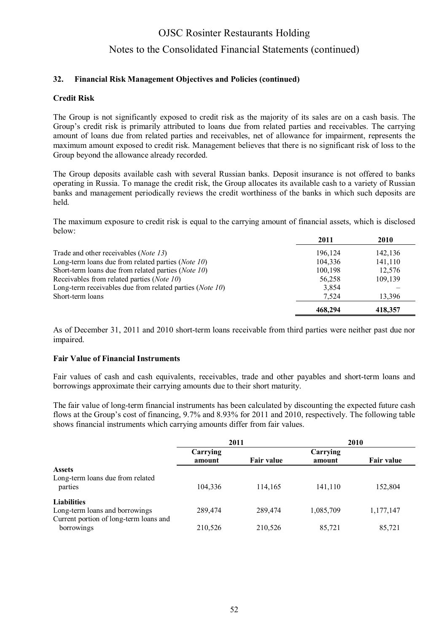### Notes to the Consolidated Financial Statements (continued)

### **32. Financial Risk Management Objectives and Policies (continued)**

### **Credit Risk**

The Group is not significantly exposed to credit risk as the majority of its sales are on a cash basis. The Group's credit risk is primarily attributed to loans due from related parties and receivables. The carrying amount of loans due from related parties and receivables, net of allowance for impairment, represents the maximum amount exposed to credit risk. Management believes that there is no significant risk of loss to the Group beyond the allowance already recorded.

The Group deposits available cash with several Russian banks. Deposit insurance is not offered to banks operating in Russia. To manage the credit risk, the Group allocates its available cash to a variety of Russian banks and management periodically reviews the credit worthiness of the banks in which such deposits are held.

The maximum exposure to credit risk is equal to the carrying amount of financial assets, which is disclosed below:

|                                                                   | 2011    | 2010    |
|-------------------------------------------------------------------|---------|---------|
| Trade and other receivables ( <i>Note 13</i> )                    | 196.124 | 142.136 |
| Long-term loans due from related parties (Note 10)                | 104,336 | 141,110 |
| Short-term loans due from related parties ( <i>Note 10</i> )      | 100,198 | 12,576  |
| Receivables from related parties ( <i>Note 10</i> )               | 56,258  | 109,139 |
| Long-term receivables due from related parties ( <i>Note 10</i> ) | 3,854   |         |
| Short-term loans                                                  | 7.524   | 13.396  |
|                                                                   | 468,294 | 418,357 |

As of December 31, 2011 and 2010 short-term loans receivable from third parties were neither past due nor impaired.

### **Fair Value of Financial Instruments**

Fair values of cash and cash equivalents, receivables, trade and other payables and short-term loans and borrowings approximate their carrying amounts due to their short maturity.

The fair value of long-term financial instruments has been calculated by discounting the expected future cash flows at the Group's cost of financing, 9.7% and 8.93% for 2011 and 2010, respectively. The following table shows financial instruments which carrying amounts differ from fair values.

|                                                                                                | 2011               |                   | 2010               |                   |
|------------------------------------------------------------------------------------------------|--------------------|-------------------|--------------------|-------------------|
|                                                                                                | Carrying<br>amount | <b>Fair value</b> | Carrying<br>amount | <b>Fair value</b> |
| <b>Assets</b><br>Long-term loans due from related<br>parties                                   | 104,336            | 114,165           | 141,110            | 152,804           |
| <b>Liabilities</b><br>Long-term loans and borrowings<br>Current portion of long-term loans and | 289,474            | 289,474           | 1,085,709          | 1,177,147         |
| borrowings                                                                                     | 210,526            | 210,526           | 85,721             | 85,721            |